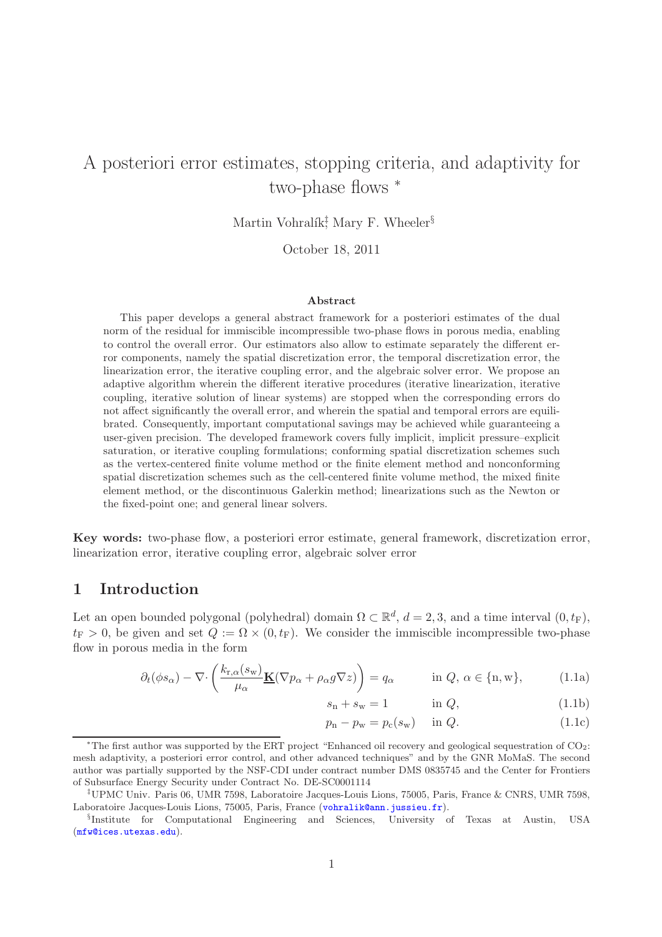# A posteriori error estimates, stopping criteria, and adaptivity for two-phase flows <sup>∗</sup>

Martin Vohralík<sup> $\ddagger$ </sup>, Mary F. Wheeler<sup>§</sup>

October 18, 2011

### Abstract

This paper develops a general abstract framework for a posteriori estimates of the dual norm of the residual for immiscible incompressible two-phase flows in porous media, enabling to control the overall error. Our estimators also allow to estimate separately the different error components, namely the spatial discretization error, the temporal discretization error, the linearization error, the iterative coupling error, and the algebraic solver error. We propose an adaptive algorithm wherein the different iterative procedures (iterative linearization, iterative coupling, iterative solution of linear systems) are stopped when the corresponding errors do not affect significantly the overall error, and wherein the spatial and temporal errors are equilibrated. Consequently, important computational savings may be achieved while guaranteeing a user-given precision. The developed framework covers fully implicit, implicit pressure–explicit saturation, or iterative coupling formulations; conforming spatial discretization schemes such as the vertex-centered finite volume method or the finite element method and nonconforming spatial discretization schemes such as the cell-centered finite volume method, the mixed finite element method, or the discontinuous Galerkin method; linearizations such as the Newton or the fixed-point one; and general linear solvers.

Key words: two-phase flow, a posteriori error estimate, general framework, discretization error, linearization error, iterative coupling error, algebraic solver error

## 1 Introduction

Let an open bounded polygonal (polyhedral) domain  $\Omega \subset \mathbb{R}^d$ ,  $d = 2, 3$ , and a time interval  $(0, t_F)$ ,  $t_F > 0$ , be given and set  $Q := \Omega \times (0, t_F)$ . We consider the immiscible incompressible two-phase flow in porous media in the form

$$
\partial_t(\phi s_\alpha) - \nabla \cdot \left( \frac{k_{\mathbf{r},\alpha}(s_\mathbf{w})}{\mu_\alpha} \mathbf{K}(\nabla p_\alpha + \rho_\alpha g \nabla z) \right) = q_\alpha \quad \text{in } Q, \, \alpha \in \{\mathbf{n}, \mathbf{w}\},\tag{1.1a}
$$

<span id="page-0-2"></span><span id="page-0-1"></span><span id="page-0-0"></span>
$$
s_{\rm n} + s_{\rm w} = 1 \qquad \qquad \text{in } Q,\tag{1.1b}
$$

$$
p_{\rm n} - p_{\rm w} = p_{\rm c}(s_{\rm w}) \quad \text{in } Q. \tag{1.1c}
$$

<sup>∗</sup>The first author was supported by the ERT project "Enhanced oil recovery and geological sequestration of CO2: mesh adaptivity, a posteriori error control, and other advanced techniques" and by the GNR MoMaS. The second author was partially supported by the NSF-CDI under contract number DMS 0835745 and the Center for Frontiers of Subsurface Energy Security under Contract No. DE-SC0001114

<sup>‡</sup>UPMC Univ. Paris 06, UMR 7598, Laboratoire Jacques-Louis Lions, 75005, Paris, France & CNRS, UMR 7598, Laboratoire Jacques-Louis Lions, 75005, Paris, France ([vohralik@ann.jussieu.fr](mailto:vohralik@ann.jussieu.fr)).

<sup>§</sup> Institute for Computational Engineering and Sciences, University of Texas at Austin, USA ([mfw@ices.utexas.edu](mailto:mfw@ices.utexas.edu)).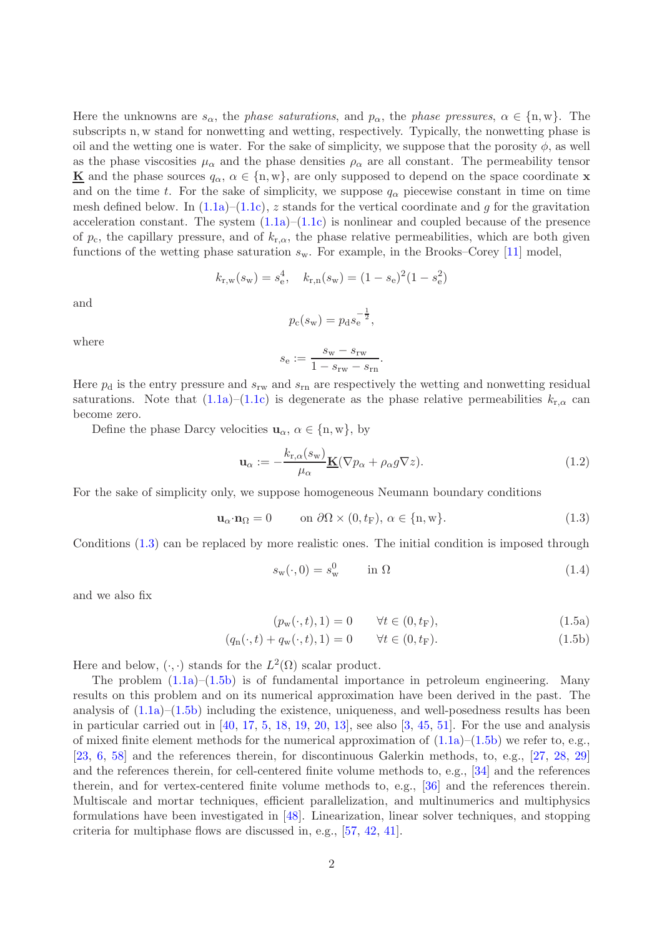Here the unknowns are  $s_{\alpha}$ , the *phase saturations*, and  $p_{\alpha}$ , the *phase pressures*,  $\alpha \in \{n, w\}$ . The subscripts n, w stand for nonwetting and wetting, respectively. Typically, the nonwetting phase is oil and the wetting one is water. For the sake of simplicity, we suppose that the porosity  $\phi$ , as well as the phase viscosities  $\mu_{\alpha}$  and the phase densities  $\rho_{\alpha}$  are all constant. The permeability tensor **K** and the phase sources  $q_{\alpha}$ ,  $\alpha \in \{n, w\}$ , are only supposed to depend on the space coordinate **x** and on the time t. For the sake of simplicity, we suppose  $q_{\alpha}$  piecewise constant in time on time mesh defined below. In  $(1.1a)$ – $(1.1c)$ , z stands for the vertical coordinate and g for the gravitation acceleration constant. The system  $(1.1a)$ – $(1.1c)$  is nonlinear and coupled because of the presence of  $p_c$ , the capillary pressure, and of  $k_{r,\alpha}$ , the phase relative permeabilities, which are both given functions of the wetting phase saturation  $s_w$ . For example, in the Brooks–Corey [\[11\]](#page-16-0) model,

$$
k_{\rm r,w}(s_{\rm w}) = s_{\rm e}^4
$$
,  $k_{\rm r,n}(s_{\rm w}) = (1 - s_{\rm e})^2 (1 - s_{\rm e}^2)$ 

and

$$
p_{\rm c}(s_{\rm w}) = p_{\rm d}s_{\rm e}^{-\frac{1}{2}},
$$

where

$$
s_{\rm e} := \frac{s_{\rm w} - s_{\rm rw}}{1 - s_{\rm rw} - s_{\rm rn}}.
$$

Here  $p_d$  is the entry pressure and  $s_{rw}$  and  $s_{rn}$  are respectively the wetting and nonwetting residual saturations. Note that  $(1.1a)$ – $(1.1c)$  is degenerate as the phase relative permeabilities  $k_{r,\alpha}$  can become zero.

Define the phase Darcy velocities  $u_{\alpha}, \alpha \in \{n, w\}$ , by

<span id="page-1-2"></span>
$$
\mathbf{u}_{\alpha} := -\frac{k_{\mathrm{r},\alpha}(s_{\mathrm{w}})}{\mu_{\alpha}} \underline{\mathbf{K}}(\nabla p_{\alpha} + \rho_{\alpha} g \nabla z). \tag{1.2}
$$

For the sake of simplicity only, we suppose homogeneous Neumann boundary conditions

$$
\mathbf{u}_{\alpha} \cdot \mathbf{n}_{\Omega} = 0 \qquad \text{on } \partial \Omega \times (0, t_{\mathcal{F}}), \ \alpha \in \{\mathbf{n}, \mathbf{w}\}. \tag{1.3}
$$

Conditions [\(1.3\)](#page-1-0) can be replaced by more realistic ones. The initial condition is imposed through

<span id="page-1-1"></span><span id="page-1-0"></span>
$$
s_{\rm w}(\cdot,0) = s_{\rm w}^0 \qquad \text{in } \Omega \tag{1.4}
$$

and we also fix

$$
(p_w(\cdot, t), 1) = 0 \qquad \forall t \in (0, t_F), \tag{1.5a}
$$

$$
(q_n(\cdot, t) + q_w(\cdot, t), 1) = 0 \qquad \forall t \in (0, t_F). \tag{1.5b}
$$

Here and below,  $(\cdot, \cdot)$  stands for the  $L^2(\Omega)$  scalar product.

The problem  $(1.1a)$ – $(1.5b)$  is of fundamental importance in petroleum engineering. Many results on this problem and on its numerical approximation have been derived in the past. The analysis of  $(1.1a)$ – $(1.5b)$  including the existence, uniqueness, and well-posedness results has been in particular carried out in  $[40, 17, 5, 18, 19, 20, 13]$  $[40, 17, 5, 18, 19, 20, 13]$  $[40, 17, 5, 18, 19, 20, 13]$  $[40, 17, 5, 18, 19, 20, 13]$  $[40, 17, 5, 18, 19, 20, 13]$  $[40, 17, 5, 18, 19, 20, 13]$  $[40, 17, 5, 18, 19, 20, 13]$  $[40, 17, 5, 18, 19, 20, 13]$  $[40, 17, 5, 18, 19, 20, 13]$  $[40, 17, 5, 18, 19, 20, 13]$  $[40, 17, 5, 18, 19, 20, 13]$  $[40, 17, 5, 18, 19, 20, 13]$ , see also  $[3, 45, 51]$  $[3, 45, 51]$  $[3, 45, 51]$  $[3, 45, 51]$ . For the use and analysis of mixed finite element methods for the numerical approximation of  $(1.1a)$ – $(1.5b)$  we refer to, e.g., [\[23,](#page-17-3) [6,](#page-16-5) [58\]](#page-19-1) and the references therein, for discontinuous Galerkin methods, to, e.g., [\[27,](#page-17-4) [28,](#page-17-5) [29\]](#page-17-6) and the references therein, for cell-centered finite volume methods to, e.g., [\[34\]](#page-18-2) and the references therein, and for vertex-centered finite volume methods to, e.g., [\[36\]](#page-18-3) and the references therein. Multiscale and mortar techniques, efficient parallelization, and multinumerics and multiphysics formulations have been investigated in [\[48\]](#page-18-4). Linearization, linear solver techniques, and stopping criteria for multiphase flows are discussed in, e.g., [\[57,](#page-19-2) [42,](#page-18-5) [41\]](#page-18-6).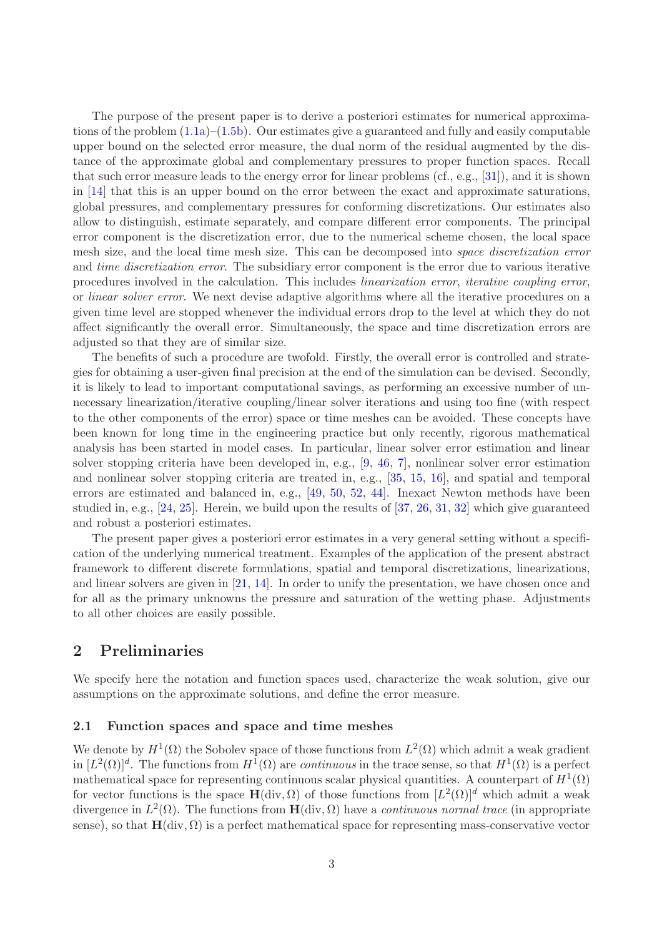The purpose of the present paper is to derive a posteriori estimates for numerical approximations of the problem  $(1.1a)$ – $(1.5b)$ . Our estimates give a guaranteed and fully and easily computable upper bound on the selected error measure, the dual norm of the residual augmented by the distance of the approximate global and complementary pressures to proper function spaces. Recall that such error measure leads to the energy error for linear problems (cf., e.g., [\[31\]](#page-17-7)), and it is shown in [\[14\]](#page-16-6) that this is an upper bound on the error between the exact and approximate saturations, global pressures, and complementary pressures for conforming discretizations. Our estimates also allow to distinguish, estimate separately, and compare different error components. The principal error component is the discretization error, due to the numerical scheme chosen, the local space mesh size, and the local time mesh size. This can be decomposed into *space discretization error* and *time discretization error*. The subsidiary error component is the error due to various iterative procedures involved in the calculation. This includes *linearization error*, *iterative coupling error*, or *linear solver error*. We next devise adaptive algorithms where all the iterative procedures on a given time level are stopped whenever the individual errors drop to the level at which they do not affect significantly the overall error. Simultaneously, the space and time discretization errors are adjusted so that they are of similar size.

The benefits of such a procedure are twofold. Firstly, the overall error is controlled and strategies for obtaining a user-given final precision at the end of the simulation can be devised. Secondly, it is likely to lead to important computational savings, as performing an excessive number of unnecessary linearization/iterative coupling/linear solver iterations and using too fine (with respect to the other components of the error) space or time meshes can be avoided. These concepts have been known for long time in the engineering practice but only recently, rigorous mathematical analysis has been started in model cases. In particular, linear solver error estimation and linear solver stopping criteria have been developed in, e.g., [\[9,](#page-16-7) [46,](#page-18-7) [7\]](#page-16-8), nonlinear solver error estimation and nonlinear solver stopping criteria are treated in, e.g., [\[35,](#page-18-8) [15,](#page-16-9) [16\]](#page-16-10), and spatial and temporal errors are estimated and balanced in, e.g., [\[49,](#page-19-3) [50,](#page-19-4) [52,](#page-19-5) [44\]](#page-18-9). Inexact Newton methods have been studied in, e.g., [\[24,](#page-17-8) [25\]](#page-17-9). Herein, we build upon the results of [\[37,](#page-18-10) [26,](#page-17-10) [31,](#page-17-7) [32\]](#page-17-11) which give guaranteed and robust a posteriori estimates.

The present paper gives a posteriori error estimates in a very general setting without a specification of the underlying numerical treatment. Examples of the application of the present abstract framework to different discrete formulations, spatial and temporal discretizations, linearizations, and linear solvers are given in [\[21,](#page-17-12) [14\]](#page-16-6). In order to unify the presentation, we have chosen once and for all as the primary unknowns the pressure and saturation of the wetting phase. Adjustments to all other choices are easily possible.

# 2 Preliminaries

We specify here the notation and function spaces used, characterize the weak solution, give our assumptions on the approximate solutions, and define the error measure.

### <span id="page-2-0"></span>2.1 Function spaces and space and time meshes

We denote by  $H^1(\Omega)$  the Sobolev space of those functions from  $L^2(\Omega)$  which admit a weak gradient in  $[L^2(\Omega)]^d$ . The functions from  $H^1(\Omega)$  are *continuous* in the trace sense, so that  $H^1(\Omega)$  is a perfect mathematical space for representing continuous scalar physical quantities. A counterpart of  $H^1(\Omega)$ for vector functions is the space  $\mathbf{H}(\text{div}, \Omega)$  of those functions from  $[L^2(\Omega)]^d$  which admit a weak divergence in  $L^2(\Omega)$ . The functions from  $\mathbf{H}(\text{div}, \Omega)$  have a *continuous normal trace* (in appropriate sense), so that  $H(\text{div}, \Omega)$  is a perfect mathematical space for representing mass-conservative vector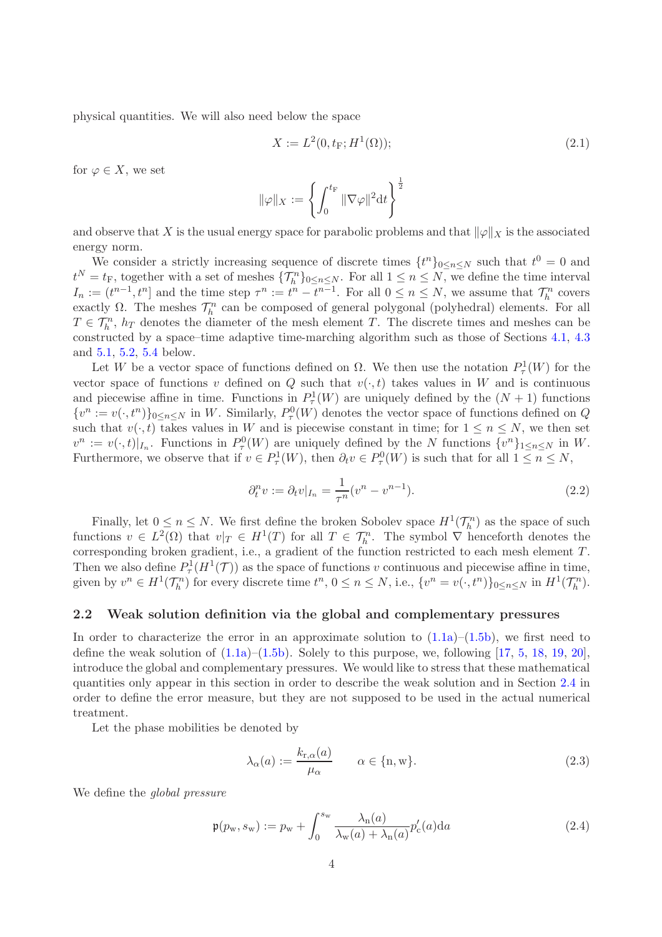physical quantities. We will also need below the space

$$
X := L^{2}(0, t_{F}; H^{1}(\Omega));
$$
\n(2.1)

for  $\varphi \in X$ , we set

$$
\|\varphi\|_X:=\left\{\int_0^{t_{\rm F}}\|\nabla\varphi\|^2{\rm d}t\right\}^\frac{1}{2}
$$

and observe that X is the usual energy space for parabolic problems and that  $\|\varphi\|_X$  is the associated energy norm.

We consider a strictly increasing sequence of discrete times  $\{t^n\}_{0 \leq n \leq N}$  such that  $t^0 = 0$  and  $t^N = t_F$ , together with a set of meshes  $\{\mathcal{T}_h^n\}_{0 \le n \le N}$ . For all  $1 \le n \le N$ , we define the time interval  $I_n := (t^{n-1}, t^n]$  and the time step  $\tau^n := t^n - t^{n-1}$ . For all  $0 \le n \le N$ , we assume that  $\mathcal{T}_h^n$  covers exactly  $\Omega$ . The meshes  $\mathcal{T}_h^n$  can be composed of general polygonal (polyhedral) elements. For all  $T \in \mathcal{T}_h^n$ ,  $h_T$  denotes the diameter of the mesh element T. The discrete times and meshes can be constructed by a space–time adaptive time-marching algorithm such as those of Sections [4.1,](#page-8-0) [4.3](#page-12-0) and [5.1,](#page-13-0) [5.2,](#page-15-0) [5.4](#page-15-1) below.

Let W be a vector space of functions defined on  $\Omega$ . We then use the notation  $P^1_{\tau}(W)$  for the vector space of functions v defined on Q such that  $v(\cdot, t)$  takes values in W and is continuous and piecewise affine in time. Functions in  $P^1(\mathcal{W})$  are uniquely defined by the  $(N+1)$  functions  $\{v^n := v(\cdot, t^n)\}_{0 \le n \le N}$  in W. Similarly,  $P_\tau^0(W)$  denotes the vector space of functions defined on Q such that  $v(\cdot, t)$  takes values in W and is piecewise constant in time; for  $1 \leq n \leq N$ , we then set  $v^n := v(\cdot, t)|_{I_n}$ . Functions in  $P^0_{\tau}(W)$  are uniquely defined by the N functions  $\{v^n\}_{1 \leq n \leq N}$  in W. Furthermore, we observe that if  $v \in P_\tau^1(W)$ , then  $\partial_t v \in P_\tau^0(W)$  is such that for all  $1 \leq n \leq N$ ,

$$
\partial_t^n v := \partial_t v|_{I_n} = \frac{1}{\tau^n} (v^n - v^{n-1}).\tag{2.2}
$$

Finally, let  $0 \le n \le N$ . We first define the broken Sobolev space  $H^1(\mathcal{T}_h^n)$  as the space of such functions  $v \in L^2(\Omega)$  that  $v|_T \in H^1(T)$  for all  $T \in \mathcal{T}_h^n$ . The symbol  $\nabla$  henceforth denotes the corresponding broken gradient, i.e., a gradient of the function restricted to each mesh element T. Then we also define  $P^1_\tau(H^1(\mathcal{T}))$  as the space of functions v continuous and piecewise affine in time, given by  $v^n \in H^1(\mathcal{T}_h^n)$  for every discrete time  $t^n$ ,  $0 \le n \le N$ , i.e.,  $\{v^n = v(\cdot, t^n)\}_{0 \le n \le N}$  in  $H^1(\mathcal{T}_h^n)$ .

### <span id="page-3-1"></span>2.2 Weak solution definition via the global and complementary pressures

In order to characterize the error in an approximate solution to  $(1.1a)$ – $(1.5b)$ , we first need to define the weak solution of  $(1.1a)$ – $(1.5b)$ . Solely to this purpose, we, following [\[17,](#page-16-1) [5,](#page-16-2) [18,](#page-17-0) [19,](#page-17-1) [20\]](#page-17-2), introduce the global and complementary pressures. We would like to stress that these mathematical quantities only appear in this section in order to describe the weak solution and in Section [2.4](#page-4-0) in order to define the error measure, but they are not supposed to be used in the actual numerical treatment.

Let the phase mobilities be denoted by

$$
\lambda_{\alpha}(a) := \frac{k_{\mathrm{r},\alpha}(a)}{\mu_{\alpha}} \qquad \alpha \in \{\mathrm{n}, \mathrm{w}\}. \tag{2.3}
$$

We define the *global pressure*

<span id="page-3-0"></span>
$$
\mathfrak{p}(p_{\rm w}, s_{\rm w}) := p_{\rm w} + \int_0^{s_{\rm w}} \frac{\lambda_{\rm n}(a)}{\lambda_{\rm w}(a) + \lambda_{\rm n}(a)} p_{\rm c}'(a) da \tag{2.4}
$$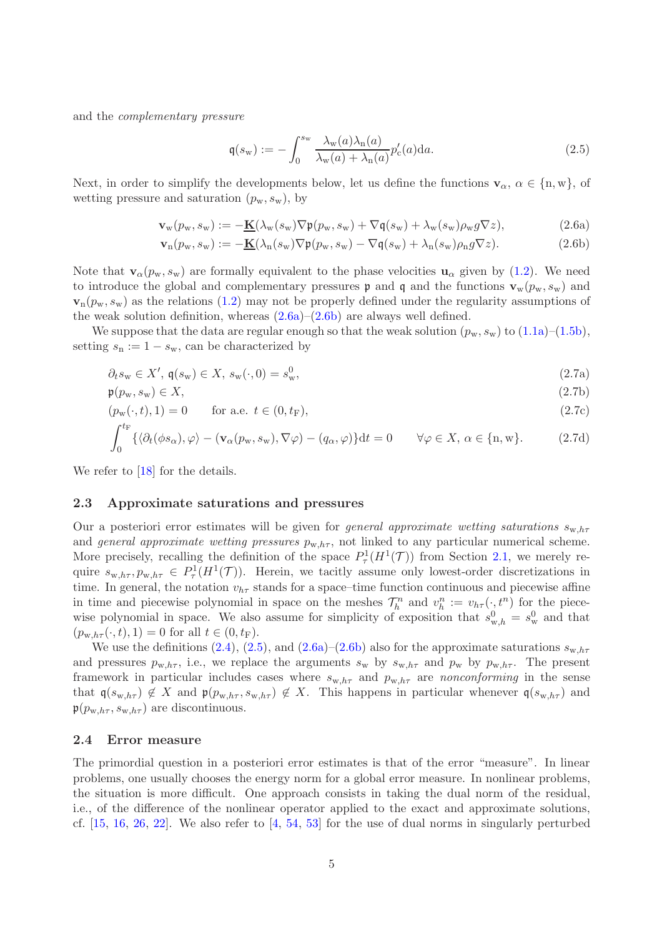and the *complementary pressure*

<span id="page-4-7"></span><span id="page-4-6"></span><span id="page-4-5"></span><span id="page-4-3"></span><span id="page-4-2"></span><span id="page-4-1"></span>
$$
\mathfrak{q}(s_w) := -\int_0^{s_w} \frac{\lambda_w(a)\lambda_n(a)}{\lambda_w(a) + \lambda_n(a)} p'_c(a) da.
$$
\n(2.5)

Next, in order to simplify the developments below, let us define the functions  $\mathbf{v}_{\alpha}, \alpha \in \{\text{n}, \text{w}\}\)$ , of wetting pressure and saturation  $(p_w, s_w)$ , by

$$
\mathbf{v}_{\mathbf{w}}(p_{\mathbf{w}}, s_{\mathbf{w}}) := -\underline{\mathbf{K}}(\lambda_{\mathbf{w}}(s_{\mathbf{w}})\nabla \mathfrak{p}(p_{\mathbf{w}}, s_{\mathbf{w}}) + \nabla \mathfrak{q}(s_{\mathbf{w}}) + \lambda_{\mathbf{w}}(s_{\mathbf{w}})\rho_{\mathbf{w}}g\nabla z),
$$
(2.6a)

$$
\mathbf{v}_n(p_w, s_w) := -\underline{\mathbf{K}}(\lambda_n(s_w)\nabla\mathfrak{p}(p_w, s_w) - \nabla\mathfrak{q}(s_w) + \lambda_n(s_w)\rho_n g \nabla z). \tag{2.6b}
$$

Note that  $\mathbf{v}_{\alpha}(p_{w}, s_{w})$  are formally equivalent to the phase velocities  $\mathbf{u}_{\alpha}$  given by [\(1.2\)](#page-1-2). We need to introduce the global and complementary pressures  $\mathfrak p$  and  $\mathfrak q$  and the functions  $\mathbf{v}_w(p_w, s_w)$  and  $\mathbf{v}_n(p_w, s_w)$  as the relations [\(1.2\)](#page-1-2) may not be properly defined under the regularity assumptions of the weak solution definition, whereas  $(2.6a)$ – $(2.6b)$  are always well defined.

We suppose that the data are regular enough so that the weak solution  $(p_w, s_w)$  to  $(1.1a)$ – $(1.5b)$ , setting  $s_n := 1 - s_w$ , can be characterized by

$$
\partial_t s_w \in X', \mathfrak{q}(s_w) \in X, s_w(\cdot, 0) = s_w^0,
$$
\n
$$
(2.7a)
$$

$$
\mathfrak{p}(p_{\rm w}, s_{\rm w}) \in X,\tag{2.7b}
$$

$$
(p_w(\cdot, t), 1) = 0 \qquad \text{for a.e. } t \in (0, t_F), \tag{2.7c}
$$

$$
\int_0^{c_{\mathbf{F}}} \{ \langle \partial_t (\phi s_\alpha), \varphi \rangle - (\mathbf{v}_\alpha(p_\mathbf{w}, s_\mathbf{w}), \nabla \varphi) - (q_\alpha, \varphi) \} \mathrm{d}t = 0 \qquad \forall \varphi \in X, \, \alpha \in \{\mathbf{n}, \mathbf{w}\}. \tag{2.7d}
$$

We refer to [\[18\]](#page-17-0) for the details.

### <span id="page-4-4"></span>2.3 Approximate saturations and pressures

Our a posteriori error estimates will be given for *general approximate wetting saturations*  $s_{w,h\tau}$ and *general approximate wetting pressures*  $p_{w,h\tau}$ , not linked to any particular numerical scheme. More precisely, recalling the definition of the space  $P^1_\tau(H^1(\mathcal{T}))$  from Section [2.1,](#page-2-0) we merely require  $s_{w,h\tau}, p_{w,h\tau} \in P_\tau^1(H^1(\mathcal{T}))$ . Herein, we tacitly assume only lowest-order discretizations in time. In general, the notation  $v_{h\tau}$  stands for a space–time function continuous and piecewise affine in time and piecewise polynomial in space on the meshes  $\mathcal{T}_h^n$  and  $v_h^n := v_{h\tau}(\cdot, t^n)$  for the piecewise polynomial in space. We also assume for simplicity of exposition that  $s_{w,h}^0 = s_w^0$  and that  $(p_{w,h\tau}(\cdot,t), 1) = 0$  for all  $t \in (0, t_F)$ .

We use the definitions [\(2.4\)](#page-3-0), [\(2.5\)](#page-4-3), and [\(2.6a\)](#page-4-1)–[\(2.6b\)](#page-4-2) also for the approximate saturations  $s_{w,h\tau}$ and pressures  $p_{w,h\tau}$ , i.e., we replace the arguments  $s_w$  by  $s_{w,h\tau}$  and  $p_w$  by  $p_{w,h\tau}$ . The present framework in particular includes cases where  $s_{w,h\tau}$  and  $p_{w,h\tau}$  are *nonconforming* in the sense that  $\mathfrak{q}(s_{w,h\tau}) \notin X$  and  $\mathfrak{p}(p_{w,h\tau}, s_{w,h\tau}) \notin X$ . This happens in particular whenever  $\mathfrak{q}(s_{w,h\tau})$  and  $\mathfrak{p}(p_{\mathrm{w},h\tau}, s_{\mathrm{w},h\tau})$  are discontinuous.

### <span id="page-4-0"></span>2.4 Error measure

The primordial question in a posteriori error estimates is that of the error "measure". In linear problems, one usually chooses the energy norm for a global error measure. In nonlinear problems, the situation is more difficult. One approach consists in taking the dual norm of the residual, i.e., of the difference of the nonlinear operator applied to the exact and approximate solutions, cf.  $[15, 16, 26, 22]$  $[15, 16, 26, 22]$  $[15, 16, 26, 22]$  $[15, 16, 26, 22]$  $[15, 16, 26, 22]$  $[15, 16, 26, 22]$ . We also refer to  $[4, 54, 53]$  $[4, 54, 53]$  $[4, 54, 53]$  $[4, 54, 53]$  for the use of dual norms in singularly perturbed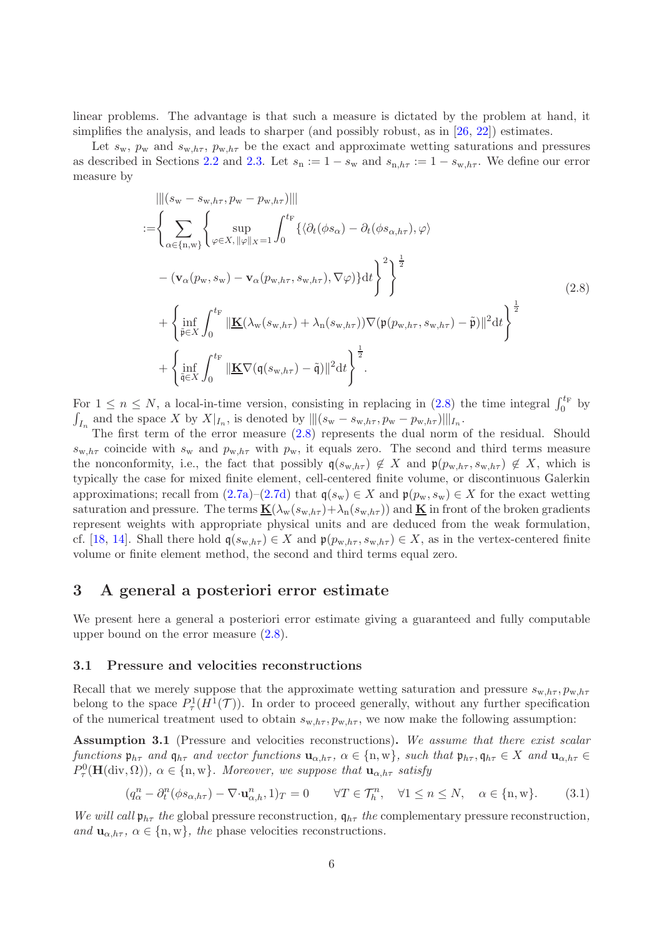linear problems. The advantage is that such a measure is dictated by the problem at hand, it simplifies the analysis, and leads to sharper (and possibly robust, as in [\[26,](#page-17-10) [22\]](#page-17-13)) estimates.

Let  $s_w$ ,  $p_w$  and  $s_{w,h\tau}$ ,  $p_{w,h\tau}$  be the exact and approximate wetting saturations and pressures as described in Sections [2.2](#page-3-1) and [2.3.](#page-4-4) Let  $s_n := 1 - s_w$  and  $s_{n,h\tau} := 1 - s_{w,h\tau}$ . We define our error measure by

<span id="page-5-0"></span>
$$
\|\|(s_{\mathbf{w}} - s_{\mathbf{w},h\tau}, p_{\mathbf{w}} - p_{\mathbf{w},h\tau})\|\|
$$
\n
$$
:= \left\{\sum_{\alpha \in \{\mathbf{n},\mathbf{w}\}} \left\{\sup_{\varphi \in X, \|\varphi\|_{X} = 1} \int_{0}^{t_{\mathbf{F}}} \left\{\langle \partial_{t}(\phi s_{\alpha}) - \partial_{t}(\phi s_{\alpha,h\tau}), \varphi \right\rangle \right. \\ \left. - (\mathbf{v}_{\alpha}(p_{\mathbf{w}}, s_{\mathbf{w}}) - \mathbf{v}_{\alpha}(p_{\mathbf{w},h\tau}, s_{\mathbf{w},h\tau}), \nabla \varphi) \right\} dt \right\}^{2} \Big\}^{\frac{1}{2}} \right\}
$$
\n
$$
+ \left\{\inf_{\tilde{\mathbf{p}} \in X} \int_{0}^{t_{\mathbf{F}}} \|\mathbf{\underline{K}}(\lambda_{\mathbf{w}}(s_{\mathbf{w},h\tau}) + \lambda_{\mathbf{n}}(s_{\mathbf{w},h\tau})) \nabla(\mathfrak{p}(p_{\mathbf{w},h\tau}, s_{\mathbf{w},h\tau}) - \tilde{\mathfrak{p}})\|^{2} dt \right\}^{\frac{1}{2}} \tag{2.8}
$$
\n
$$
+ \left\{\inf_{\tilde{\mathbf{q}} \in X} \int_{0}^{t_{\mathbf{F}}} \|\mathbf{\underline{K}} \nabla(\mathbf{q}(s_{\mathbf{w},h\tau}) - \tilde{\mathbf{q}})\|^{2} dt \right\}^{\frac{1}{2}}.
$$

For  $1 \leq n \leq N$ , a local-in-time version, consisting in replacing in [\(2.8\)](#page-5-0) the time integral  $\int_0^{t_F}$  by  $\int_{I_n}$  and the space X by  $X|_{I_n}$ , is denoted by  $\| |(s_w - s_{w,h\tau}, p_w - p_{w,h\tau})\| |_{I_n}$ .

The first term of the error measure [\(2.8\)](#page-5-0) represents the dual norm of the residual. Should  $s_{w,h\tau}$  coincide with  $s_w$  and  $p_{w,h\tau}$  with  $p_w$ , it equals zero. The second and third terms measure the nonconformity, i.e., the fact that possibly  $q(s_{w,h\tau}) \notin X$  and  $\mathfrak{p}(p_{w,h\tau}, s_{w,h\tau}) \notin X$ , which is typically the case for mixed finite element, cell-centered finite volume, or discontinuous Galerkin approximations; recall from  $(2.7a)-(2.7d)$  $(2.7a)-(2.7d)$  that  $\mathfrak{q}(s_w) \in X$  and  $\mathfrak{p}(p_w, s_w) \in X$  for the exact wetting saturation and pressure. The terms  $\underline{\mathbf{K}}(\lambda_{w}(s_{w,h\tau})+\lambda_{n}(s_{w,h\tau}))$  and  $\underline{\mathbf{K}}$  in front of the broken gradients represent weights with appropriate physical units and are deduced from the weak formulation, cf. [\[18,](#page-17-0) [14\]](#page-16-6). Shall there hold  $q(s_{w,h\tau}) \in X$  and  $\mathfrak{p}(p_{w,h\tau}, s_{w,h\tau}) \in X$ , as in the vertex-centered finite volume or finite element method, the second and third terms equal zero.

# <span id="page-5-3"></span>3 A general a posteriori error estimate

We present here a general a posteriori error estimate giving a guaranteed and fully computable upper bound on the error measure [\(2.8\)](#page-5-0).

#### 3.1 Pressure and velocities reconstructions

Recall that we merely suppose that the approximate wetting saturation and pressure  $s_{w,h\tau}$ ,  $p_{w,h\tau}$ belong to the space  $P^1_\tau(H^1(\mathcal{T}))$ . In order to proceed generally, without any further specification of the numerical treatment used to obtain  $s_{w,h\tau}$ ,  $p_{w,h\tau}$ , we now make the following assumption:

<span id="page-5-1"></span>Assumption 3.1 (Pressure and velocities reconstructions). *We assume that there exist scalar functions*  $\mathfrak{p}_{h\tau}$  *and*  $\mathfrak{q}_{h\tau}$  *and vector functions*  $\mathbf{u}_{\alpha,h\tau}$ ,  $\alpha \in \{\text{n}, \text{w}\}$ , *such that*  $\mathfrak{p}_{h\tau}$ ,  $\mathfrak{q}_{h\tau} \in X$  *and*  $\mathbf{u}_{\alpha,h\tau} \in X$  $P_{\tau}^{0}(\mathbf{H}(\text{div}, \Omega)), \alpha \in \{\text{n}, \text{w}\}\$ *. Moreover, we suppose that*  $\mathbf{u}_{\alpha, h\tau}$  *satisfy* 

<span id="page-5-2"></span>
$$
(q_{\alpha}^{n} - \partial_{t}^{n}(\phi s_{\alpha,h\tau}) - \nabla \cdot \mathbf{u}_{\alpha,h}^{n}, 1)_{T} = 0 \qquad \forall T \in \mathcal{T}_{h}^{n}, \quad \forall 1 \le n \le N, \quad \alpha \in \{\mathbf{n}, \mathbf{w}\}. \tag{3.1}
$$

*We will call*  $\mathfrak{p}_{h\tau}$  *the* global pressure reconstruction,  $\mathfrak{q}_{h\tau}$  *the* complementary pressure reconstruction, *and*  $\mathbf{u}_{\alpha,h\tau}$ ,  $\alpha \in \{n,w\}$ , the phase velocities reconstructions.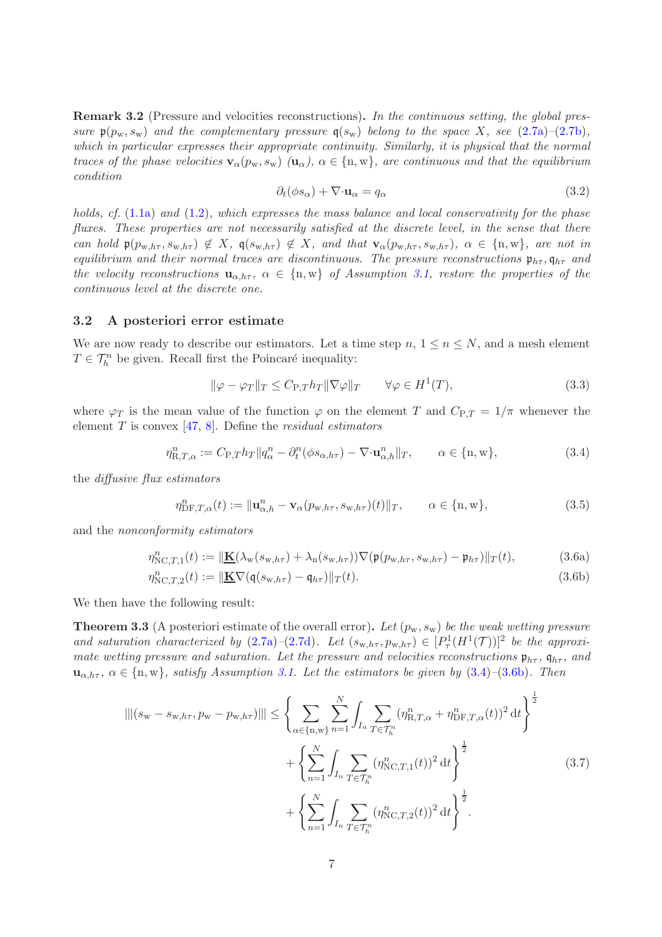Remark 3.2 (Pressure and velocities reconstructions). *In the continuous setting, the global pressure*  $\mathfrak{p}(p_w, s_w)$  *and the complementary pressure*  $\mathfrak{q}(s_w)$  *belong to the space* X*, see* [\(2.7a\)](#page-4-5)–[\(2.7b\)](#page-4-7)*, which in particular expresses their appropriate continuity. Similarly, it is physical that the normal traces of the phase velocities*  $\mathbf{v}_{\alpha}(p_{w}, s_{w})$   $(\mathbf{u}_{\alpha})$ ,  $\alpha \in \{n, w\}$ , are continuous and that the equilibrium *condition*

$$
\partial_t(\phi s_\alpha) + \nabla \cdot \mathbf{u}_\alpha = q_\alpha \tag{3.2}
$$

*holds, cf.* [\(1.1a\)](#page-0-0) *and* [\(1.2\)](#page-1-2)*, which expresses the mass balance and local conservativity for the phase fluxes. These properties are not necessarily satisfied at the discrete level, in the sense that there can hold*  $p(p_{w,h\tau}, s_{w,h\tau}) \notin X$ ,  $q(s_{w,h\tau}) \notin X$ , and that  $\mathbf{v}_{\alpha}(p_{w,h\tau}, s_{w,h\tau})$ ,  $\alpha \in \{\text{n}, \text{w}\}$ , are not in *equilibrium and their normal traces are discontinuous. The pressure reconstructions*  $\mathfrak{p}_{h\tau}, \mathfrak{q}_{h\tau}$  *and the velocity reconstructions*  $\mathbf{u}_{\alpha,h\tau}$ ,  $\alpha \in \{\text{n}, \text{w}\}\$  *of Assumption [3.1,](#page-5-1) restore the properties of the continuous level at the discrete one.*

### <span id="page-6-4"></span>3.2 A posteriori error estimate

We are now ready to describe our estimators. Let a time step  $n, 1 \leq n \leq N$ , and a mesh element  $T \in \mathcal{T}_h^n$  be given. Recall first the Poincaré inequality:

<span id="page-6-3"></span>
$$
\|\varphi - \varphi_T\|_T \le C_{\text{P},T} h_T \|\nabla \varphi\|_T \qquad \forall \varphi \in H^1(T),\tag{3.3}
$$

where  $\varphi_T$  is the mean value of the function  $\varphi$  on the element T and  $C_{P,T} = 1/\pi$  whenever the element T is convex [\[47,](#page-18-11) [8\]](#page-16-12). Define the *residual estimators*

<span id="page-6-0"></span>
$$
\eta_{\mathcal{R},T,\alpha}^{n} := C_{\mathcal{P},T} h_T \| q_{\alpha}^{n} - \partial_t^{n} (\phi s_{\alpha,h\tau}) - \nabla \cdot \mathbf{u}_{\alpha,h}^{n} \|_{T}, \qquad \alpha \in \{\mathbf{n}, \mathbf{w}\},
$$
\n(3.4)

the *diffusive flux estimators*

<span id="page-6-1"></span>
$$
\eta_{\text{DF},T,\alpha}^{n}(t) := \|\mathbf{u}_{\alpha,h}^{n} - \mathbf{v}_{\alpha}(p_{\text{w},h\tau}, s_{\text{w},h\tau})(t)\|_{T}, \qquad \alpha \in \{\text{n}, \text{w}\},\tag{3.5}
$$

and the *nonconformity estimators*

$$
\eta_{\text{NC},T,1}^n(t) := \|\underline{\mathbf{K}}(\lambda_{\mathbf{w}}(s_{\mathbf{w},h\tau}) + \lambda_{\mathbf{n}}(s_{\mathbf{w},h\tau}))\nabla(\mathfrak{p}(p_{\mathbf{w},h\tau},s_{\mathbf{w},h\tau}) - \mathfrak{p}_{h\tau})\|_T(t),\tag{3.6a}
$$

$$
\eta_{\text{NC},T,2}^n(t) := \|\underline{\mathbf{K}} \nabla (\mathfrak{q}(s_{w,h\tau}) - \mathfrak{q}_{h\tau})\|_T(t). \tag{3.6b}
$$

We then have the following result:

<span id="page-6-5"></span>**Theorem 3.3** (A posteriori estimate of the overall error). Let  $(p_w, s_w)$  be the weak wetting pressure *and saturation characterized by* [\(2.7a\)](#page-4-5)–[\(2.7d\)](#page-4-6)*.* Let  $(s_{w,h\tau}, p_{w,h\tau}) \in [P^1(\mathcal{H}^1(\mathcal{T}))]^2$  be the approxi*mate wetting pressure and saturation. Let the pressure and velocities reconstructions*  $\mathfrak{p}_{h\tau}$ ,  $\mathfrak{q}_{h\tau}$ , and  $u_{\alpha,h\tau}$ ,  $\alpha \in \{n,w\}$ , satisfy Assumption [3.1.](#page-5-1) Let the estimators be given by  $(3.4)$ – $(3.6b)$ . Then

<span id="page-6-2"></span>
$$
\|\|(s_{\mathbf{w}} - s_{\mathbf{w},h\tau}, p_{\mathbf{w}} - p_{\mathbf{w},h\tau})\| \leq \left\{\sum_{\alpha \in \{\mathbf{n}, \mathbf{w}\}} \sum_{n=1}^{N} \int_{I_n} \sum_{T \in \mathcal{T}_h^n} (\eta_{\mathbf{R},T,\alpha}^n + \eta_{\mathbf{D}F,T,\alpha}^n(t))^2 dt \right\}^{\frac{1}{2}} + \left\{\sum_{n=1}^{N} \int_{I_n} \sum_{T \in \mathcal{T}_h^n} (\eta_{\mathbf{N}C,T,1}^n(t))^2 dt \right\}^{\frac{1}{2}} + \left\{\sum_{n=1}^{N} \int_{I_n} \sum_{T \in \mathcal{T}_h^n} (\eta_{\mathbf{N}C,T,2}^n(t))^2 dt \right\}^{\frac{1}{2}}.
$$
\n(3.7)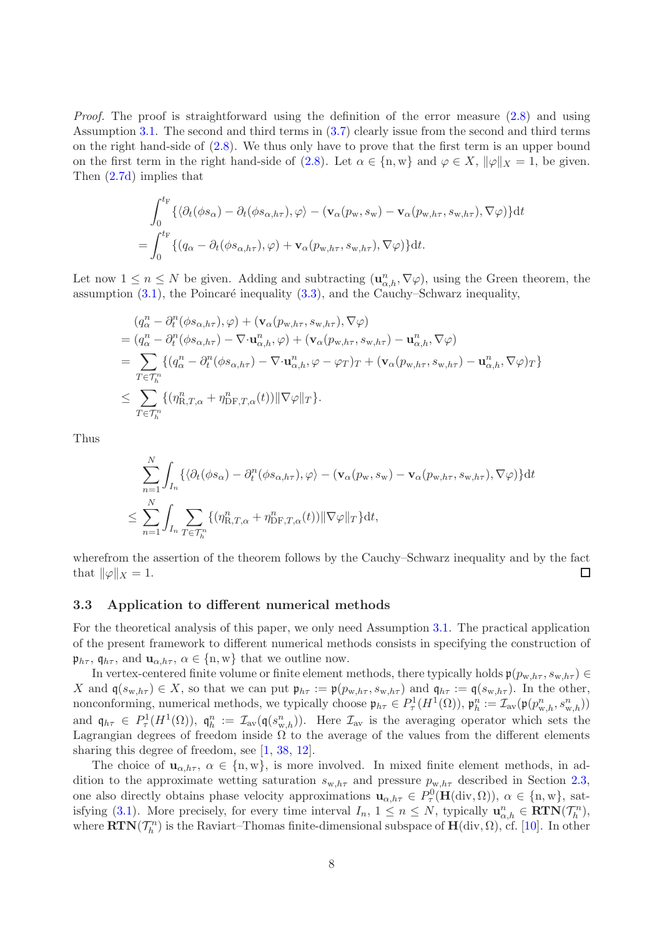*Proof.* The proof is straightforward using the definition of the error measure  $(2.8)$  and using Assumption [3.1.](#page-5-1) The second and third terms in [\(3.7\)](#page-6-2) clearly issue from the second and third terms on the right hand-side of [\(2.8\)](#page-5-0). We thus only have to prove that the first term is an upper bound on the first term in the right hand-side of [\(2.8\)](#page-5-0). Let  $\alpha \in \{n, w\}$  and  $\varphi \in X$ ,  $\|\varphi\|_X = 1$ , be given. Then [\(2.7d\)](#page-4-6) implies that

$$
\int_0^{t_F} \{ \langle \partial_t (\phi s_\alpha) - \partial_t (\phi s_{\alpha, h\tau}), \varphi \rangle - (\mathbf{v}_\alpha(p_w, s_w) - \mathbf{v}_\alpha(p_{w, h\tau}, s_{w, h\tau}), \nabla \varphi) \} dt = \int_0^{t_F} \{ (q_\alpha - \partial_t (\phi s_{\alpha, h\tau}), \varphi) + \mathbf{v}_\alpha(p_{w, h\tau}, s_{w, h\tau}), \nabla \varphi) \} dt.
$$

Let now  $1 \leq n \leq N$  be given. Adding and subtracting  $(\mathbf{u}_{\alpha,h}^n, \nabla \varphi)$ , using the Green theorem, the assumption  $(3.1)$ , the Poincaré inequality  $(3.3)$ , and the Cauchy–Schwarz inequality,

$$
(q_{\alpha}^{n} - \partial_{t}^{n}(\phi s_{\alpha,h\tau}), \varphi) + (\mathbf{v}_{\alpha}(p_{w,h\tau}, s_{w,h\tau}), \nabla \varphi)
$$
  
=  $(q_{\alpha}^{n} - \partial_{t}^{n}(\phi s_{\alpha,h\tau}) - \nabla \cdot \mathbf{u}_{\alpha,h}^{n}, \varphi) + (\mathbf{v}_{\alpha}(p_{w,h\tau}, s_{w,h\tau}) - \mathbf{u}_{\alpha,h}^{n}, \nabla \varphi)$   
= 
$$
\sum_{T \in \mathcal{T}_{h}^{n}} \{ (q_{\alpha}^{n} - \partial_{t}^{n}(\phi s_{\alpha,h\tau}) - \nabla \cdot \mathbf{u}_{\alpha,h}^{n}, \varphi - \varphi_{T})_{T} + (\mathbf{v}_{\alpha}(p_{w,h\tau}, s_{w,h\tau}) - \mathbf{u}_{\alpha,h}^{n}, \nabla \varphi)_{T} \}
$$
  

$$
\leq \sum_{T \in \mathcal{T}_{h}^{n}} \{ (\eta_{R,T,\alpha}^{n} + \eta_{\mathrm{DF},T,\alpha}^{n}(t)) \|\nabla \varphi\|_{T} \}.
$$

Thus

$$
\sum_{n=1}^{N} \int_{I_n} \{ \langle \partial_t (\phi s_{\alpha}) - \partial_t^n (\phi s_{\alpha, h\tau}), \varphi \rangle - (\mathbf{v}_{\alpha}(p_{\mathbf{w}}, s_{\mathbf{w}}) - \mathbf{v}_{\alpha}(p_{\mathbf{w}, h\tau}, s_{\mathbf{w}, h\tau}), \nabla \varphi) \} dt
$$
\n
$$
\leq \sum_{n=1}^{N} \int_{I_n} \sum_{T \in \mathcal{T}_h^n} \{ (\eta_{\mathbf{R}, T, \alpha}^n + \eta_{\mathbf{D} \mathbf{F}, T, \alpha}^n(t)) \|\nabla \varphi\|_T \} dt,
$$

wherefrom the assertion of the theorem follows by the Cauchy–Schwarz inequality and by the fact that  $\|\varphi\|_X = 1$ .  $\Box$ 

#### <span id="page-7-0"></span>3.3 Application to different numerical methods

For the theoretical analysis of this paper, we only need Assumption [3.1.](#page-5-1) The practical application of the present framework to different numerical methods consists in specifying the construction of  $\mathfrak{p}_{h\tau}$ ,  $\mathfrak{q}_{h\tau}$ , and  $\mathbf{u}_{\alpha,h\tau}$ ,  $\alpha \in \{n,w\}$  that we outline now.

In vertex-centered finite volume or finite element methods, there typically holds  $\mathfrak{p}(p_{w,h\tau}, s_{w,h\tau}) \in$ X and  $\mathfrak{q}(s_{w,h\tau}) \in X$ , so that we can put  $\mathfrak{p}_{h\tau} := \mathfrak{p}(p_{w,h\tau}, s_{w,h\tau})$  and  $\mathfrak{q}_{h\tau} := \mathfrak{q}(s_{w,h\tau})$ . In the other, nonconforming, numerical methods, we typically choose  $\mathfrak{p}_{h\tau} \in P_\tau^1(H^1(\Omega))$ ,  $\mathfrak{p}_h^n := \mathcal{I}_{\text{av}}(\mathfrak{p}(p_{w,h}^n, s_{w,h}^n))$ and  $\mathfrak{q}_{h\tau} \in P^1_\tau(H^1(\Omega))$ ,  $\mathfrak{q}_h^n := \mathcal{I}_{av}(\mathfrak{q}(s_{w,h}^n))$ . Here  $\mathcal{I}_{av}$  is the averaging operator which sets the Lagrangian degrees of freedom inside  $\Omega$  to the average of the values from the different elements sharing this degree of freedom, see [\[1,](#page-15-2) [38,](#page-18-12) [12\]](#page-16-13).

The choice of  $u_{\alpha,h\tau}$ ,  $\alpha \in \{n,w\}$ , is more involved. In mixed finite element methods, in addition to the approximate wetting saturation  $s_{w,h\tau}$  and pressure  $p_{w,h\tau}$  described in Section [2.3,](#page-4-4) one also directly obtains phase velocity approximations  $\mathbf{u}_{\alpha,h\tau} \in P_\tau^0(\mathbf{H}(\text{div},\Omega))$ ,  $\alpha \in \{\text{n}, \text{w}\}\)$ , sat-isfying [\(3.1\)](#page-5-2). More precisely, for every time interval  $I_n$ ,  $1 \leq n \leq N$ , typically  $\mathbf{u}_{\alpha,h}^n \in \mathbf{RTN}(\mathcal{T}_h^n)$ , where  $\mathbf{RTN}(\mathcal{T}_h^n)$  is the Raviart–Thomas finite-dimensional subspace of  $\mathbf{H}(\mathrm{div}, \Omega)$ , cf. [\[10\]](#page-16-14). In other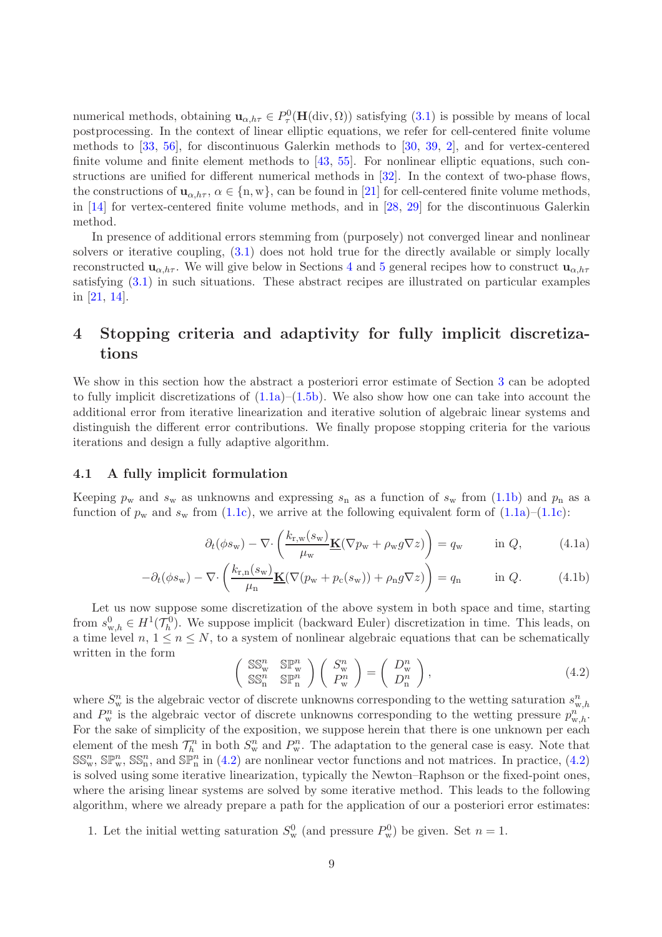numerical methods, obtaining  $u_{\alpha,h\tau} \in P^0_\tau(\mathbf{H}(\text{div}, \Omega))$  satisfying  $(3.1)$  is possible by means of local postprocessing. In the context of linear elliptic equations, we refer for cell-centered finite volume methods to [\[33,](#page-18-13) [56\]](#page-19-8), for discontinuous Galerkin methods to [\[30,](#page-17-14) [39,](#page-18-14) [2\]](#page-16-15), and for vertex-centered finite volume and finite element methods to [\[43,](#page-18-15) [55\]](#page-19-9). For nonlinear elliptic equations, such constructions are unified for different numerical methods in [\[32\]](#page-17-11). In the context of two-phase flows, the constructions of  $\mathbf{u}_{\alpha,h\tau}$ ,  $\alpha \in \{n,\mathbf{w}\}\)$ , can be found in [\[21\]](#page-17-12) for cell-centered finite volume methods, in [\[14\]](#page-16-6) for vertex-centered finite volume methods, and in [\[28,](#page-17-5) [29\]](#page-17-6) for the discontinuous Galerkin method.

In presence of additional errors stemming from (purposely) not converged linear and nonlinear solvers or iterative coupling, [\(3.1\)](#page-5-2) does not hold true for the directly available or simply locally reconstructed  $\mathbf{u}_{\alpha,h\tau}$ . We will give below in Sections [4](#page-8-1) and [5](#page-13-1) general recipes how to construct  $\mathbf{u}_{\alpha,h\tau}$ satisfying [\(3.1\)](#page-5-2) in such situations. These abstract recipes are illustrated on particular examples in [\[21,](#page-17-12) [14\]](#page-16-6).

# <span id="page-8-1"></span>4 Stopping criteria and adaptivity for fully implicit discretizations

We show in this section how the abstract a posteriori error estimate of Section [3](#page-5-3) can be adopted to fully implicit discretizations of  $(1.1a)$ – $(1.5b)$ . We also show how one can take into account the additional error from iterative linearization and iterative solution of algebraic linear systems and distinguish the different error contributions. We finally propose stopping criteria for the various iterations and design a fully adaptive algorithm.

### <span id="page-8-0"></span>4.1 A fully implicit formulation

Keeping  $p_w$  and  $s_w$  as unknowns and expressing  $s_n$  as a function of  $s_w$  from [\(1.1b\)](#page-0-2) and  $p_n$  as a function of  $p_w$  and  $s_w$  from [\(1.1c\)](#page-0-1), we arrive at the following equivalent form of [\(1.1a\)](#page-0-0)–[\(1.1c\)](#page-0-1):

$$
\partial_t(\phi s_{\rm w}) - \nabla \cdot \left(\frac{k_{\rm r,w}(s_{\rm w})}{\mu_{\rm w}} \underline{\mathbf{K}}(\nabla p_{\rm w} + \rho_{\rm w} g \nabla z)\right) = q_{\rm w} \quad \text{in } Q,\tag{4.1a}
$$

$$
-\partial_t(\phi s_{\mathbf{w}}) - \nabla \cdot \left(\frac{k_{\mathbf{r},\mathbf{n}}(s_{\mathbf{w}})}{\mu_{\mathbf{n}}} \underline{\mathbf{K}}(\nabla(p_{\mathbf{w}} + p_{\mathbf{c}}(s_{\mathbf{w}})) + \rho_{\mathbf{n}} g \nabla z)\right) = q_{\mathbf{n}} \quad \text{in } Q. \tag{4.1b}
$$

Let us now suppose some discretization of the above system in both space and time, starting from  $s_{w,h}^0 \in H^1(\mathcal{T}_h^0)$ . We suppose implicit (backward Euler) discretization in time. This leads, on a time level  $n, 1 \leq n \leq N$ , to a system of nonlinear algebraic equations that can be schematically written in the form

<span id="page-8-4"></span><span id="page-8-3"></span><span id="page-8-2"></span>
$$
\begin{pmatrix} \mathbb{SS}_{w}^{n} & \mathbb{SP}_{w}^{n} \\ \mathbb{SS}_{n}^{n} & \mathbb{SP}_{n}^{n} \end{pmatrix} \begin{pmatrix} S_{w}^{n} \\ P_{w}^{n} \end{pmatrix} = \begin{pmatrix} D_{w}^{n} \\ D_{n}^{n} \end{pmatrix}, \tag{4.2}
$$

where  $S_{\rm w}^n$  is the algebraic vector of discrete unknowns corresponding to the wetting saturation  $s_{\rm w,h}^n$ and  $P_w^n$  is the algebraic vector of discrete unknowns corresponding to the wetting pressure  $p_{w,h}^n$ . For the sake of simplicity of the exposition, we suppose herein that there is one unknown per each element of the mesh  $\mathcal{T}_h^n$  in both  $S_w^n$  and  $P_w^n$ . The adaptation to the general case is easy. Note that  $SS_w^n$ ,  $\mathbb{SP}_w^n$ ,  $SS_n^n$ , and  $\mathbb{SP}_n^m$  in [\(4.2\)](#page-8-2) are nonlinear vector functions and not matrices. In practice, (4.2) is solved using some iterative linearization, typically the Newton–Raphson or the fixed-point ones, where the arising linear systems are solved by some iterative method. This leads to the following algorithm, where we already prepare a path for the application of our a posteriori error estimates:

1. Let the initial wetting saturation  $S_{\rm w}^0$  (and pressure  $P_{\rm w}^0$ ) be given. Set  $n=1$ .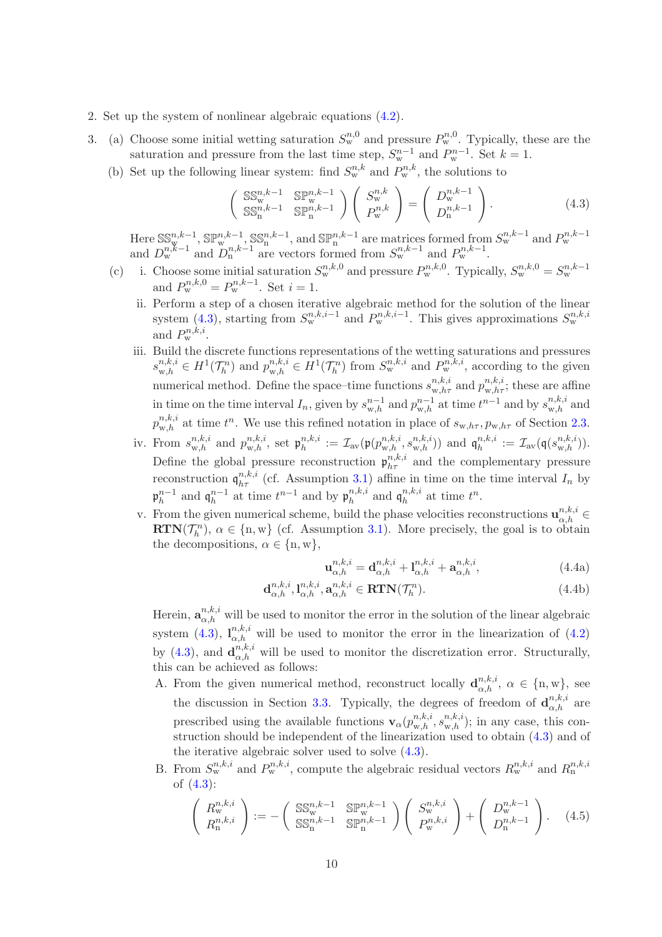- <span id="page-9-3"></span>2. Set up the system of nonlinear algebraic equations [\(4.2\)](#page-8-2).
- <span id="page-9-2"></span>3. (a) Choose some initial wetting saturation  $S_{\rm w}^{n,0}$  and pressure  $P_{\rm w}^{n,0}$ . Typically, these are the saturation and pressure from the last time step,  $S_{\rm w}^{n-1}$  and  $P_{\rm w}^{n-1}$ . Set  $k=1$ .
	- (b) Set up the following linear system: find  $S_{w}^{n,k}$  and  $P_{w}^{n,k}$ , the solutions to

<span id="page-9-0"></span>
$$
\begin{pmatrix} \mathbb{SS}_{w}^{n,k-1} & \mathbb{SP}_{w}^{n,k-1} \\ \mathbb{SS}_{n}^{n,k-1} & \mathbb{SP}_{n}^{n,k-1} \end{pmatrix} \begin{pmatrix} S_{w}^{n,k} \\ P_{w}^{n,k} \end{pmatrix} = \begin{pmatrix} D_{w}^{n,k-1} \\ D_{n}^{n,k-1} \end{pmatrix}.
$$
 (4.3)

Here  $\mathbb{SS}_{w}^{n,k-1}$ ,  $\mathbb{SP}_{w}^{n,k-1}$ ,  $\mathbb{SS}_{n}^{n,k-1}$ , and  $\mathbb{SP}_{n}^{n,k-1}$  are matrices formed from  $S_{w}^{n,k-1}$  and  $P_{w}^{n,k-1}$ and  $D_{\rm w}^{n,k-1}$  and  $D_{\rm n}^{n,k-1}$  are vectors formed from  $S_{\rm w}^{n,k-1}$  and  $P_{\rm w}^{n,k-1}$ .

- <span id="page-9-1"></span>(c) i. Choose some initial saturation  $S_{w}^{n,k,0}$  and pressure  $P_{w}^{n,k,0}$ . Typically,  $S_{w}^{n,k,0} = S_{w}^{n,k-1}$ and  $P_{\rm w}^{n,k,0} = P_{\rm w}^{n,k-1}$ . Set  $i = 1$ .
	- ii. Perform a step of a chosen iterative algebraic method for the solution of the linear system [\(4.3\)](#page-9-0), starting from  $S_{\rm w}^{n,k,i-1}$  and  $P_{\rm w}^{n,k,i-1}$ . This gives approximations  $S_{\rm w}^{n,k,i}$ and  $P_{\rm w}^{n,k,i}$ .
	- iii. Build the discrete functions representations of the wetting saturations and pressures  $s_{w,h}^{n,k,i} \in H^1(\mathcal{T}_h^n)$  and  $p_{w,h}^{n,k,i} \in H^1(\mathcal{T}_h^n)$  from  $S_w^{n,k,i}$  and  $P_w^{n,k,i}$ , according to the given numerical method. Define the space–time functions  $s_{w,h\tau}^{n,k,i}$  and  $p_{w,h\tau}^{n,k,i}$ ; these are affine in time on the time interval  $I_n$ , given by  $s_{w,h}^{n-1}$  and  $p_{w,h}^{n-1}$  at time  $t^{n-1}$  and by  $s_{w,h}^{n,k,i}$  and  $p_{\text{w},h}^{n,k,i}$  at time  $t^n$ . We use this refined notation in place of  $s_{\text{w},h\tau}, p_{\text{w},h\tau}$  of Section [2.3.](#page-4-4)
	- iv. From  $s_{\text{w},h}^{n,k,i}$  and  $p_{\text{w},h}^{n,k,i}$ , set  $\mathfrak{p}_{h}^{n,k,i}$  $\mathcal{I}_h^{n,k,i} := \mathcal{I}_{\text{av}}(\mathfrak{p}(p_{\text{w},h}^{n,k,i}, s_{\text{w},h}^{n,k,i}))$  and  $\mathfrak{q}_h^{n,k,i}$  $\mathcal{I}_h^{n,k,i} \,:=\, \mathcal{I}_\text{av}(\mathfrak{q}(s_{\mathrm{w},h}^{n,k,i})).$ Define the global pressure reconstruction  $p_{h\tau}^{n,k,i}$  and the complementary pressure reconstruction  $\mathfrak{q}_{h\tau}^{n,k,i}$  (cf. Assumption [3.1\)](#page-5-1) affine in time on the time interval  $I_n$  by  $\mathfrak{p}_h^{n-1}$  $_{h}^{n-1}$  and  $\mathfrak{q}_{h}^{n-1}$  $_{h}^{n-1}$  at time  $t^{n-1}$  and by  $\mathfrak{p}_{h}^{n,k,i}$  ${}_{h}^{n,k,i}$  and  $\mathfrak{q}_h^{n,k,i}$  $_n^{n,k,i}$  at time  $t^n$ .
	- v. From the given numerical scheme, build the phase velocities reconstructions  $\mathbf{u}_{\alpha,h}^{n,k,i} \in$  $\mathbf{RTN}(\mathcal{T}_h^n)$ ,  $\alpha \in \{n, w\}$  (cf. Assumption [3.1\)](#page-5-1). More precisely, the goal is to obtain the decompositions,  $\alpha \in \{\text{n}, \text{w}\},\$

<span id="page-9-5"></span><span id="page-9-4"></span>
$$
\mathbf{u}_{\alpha,h}^{n,k,i} = \mathbf{d}_{\alpha,h}^{n,k,i} + \mathbf{l}_{\alpha,h}^{n,k,i} + \mathbf{a}_{\alpha,h}^{n,k,i},
$$
 (4.4a)

$$
\mathbf{d}_{\alpha,h}^{n,k,i}, \mathbf{l}_{\alpha,h}^{n,k,i}, \mathbf{a}_{\alpha,h}^{n,k,i} \in \mathbf{RTN}(\mathcal{T}_h^n). \tag{4.4b}
$$

<span id="page-9-6"></span>Herein,  $\mathbf{a}_{\alpha,h}^{n,k,i}$  will be used to monitor the error in the solution of the linear algebraic system [\(4.3\)](#page-9-0),  $I_{\alpha,h}^{n,k,i}$  will be used to monitor the error in the linearization of [\(4.2\)](#page-8-2) by [\(4.3\)](#page-9-0), and  $\mathbf{d}_{\alpha,h}^{n,k,i}$  will be used to monitor the discretization error. Structurally, this can be achieved as follows:

- <span id="page-9-7"></span>A. From the given numerical method, reconstruct locally  $\mathbf{d}_{\alpha,h}^{n,k,i}$ ,  $\alpha \in \{\text{n}, \text{w}\}\text{, see}$ the discussion in Section [3.3.](#page-7-0) Typically, the degrees of freedom of  $\mathbf{d}_{\alpha,h}^{n,k,i}$  are prescribed using the available functions  $\mathbf{v}_{\alpha}(p_{w,h}^{n,k,i}, s_{w,h}^{n,k,i})$ ; in any case, this construction should be independent of the linearization used to obtain [\(4.3\)](#page-9-0) and of the iterative algebraic solver used to solve [\(4.3\)](#page-9-0).
- B. From  $S_{\rm w}^{n,k,i}$  and  $P_{\rm w}^{n,k,i}$ , compute the algebraic residual vectors  $R_{\rm w}^{n,k,i}$  and  $R_{\rm n}^{n,k,i}$ of [\(4.3\)](#page-9-0):

$$
\begin{pmatrix}\nR_w^{n,k,i} \\
R_n^{n,k,i}\n\end{pmatrix} := -\begin{pmatrix}\n\mathbb{SS}_w^{n,k-1} & \mathbb{SP}_w^{n,k-1} \\
\mathbb{SS}_n^{n,k-1} & \mathbb{SP}_n^{n,k-1}\n\end{pmatrix} \begin{pmatrix}\nS_w^{n,k,i} \\
P_w^{n,k,i}\n\end{pmatrix} + \begin{pmatrix}\nD_w^{n,k-1} \\
D_n^{n,k-1}\n\end{pmatrix}.
$$
\n(4.5)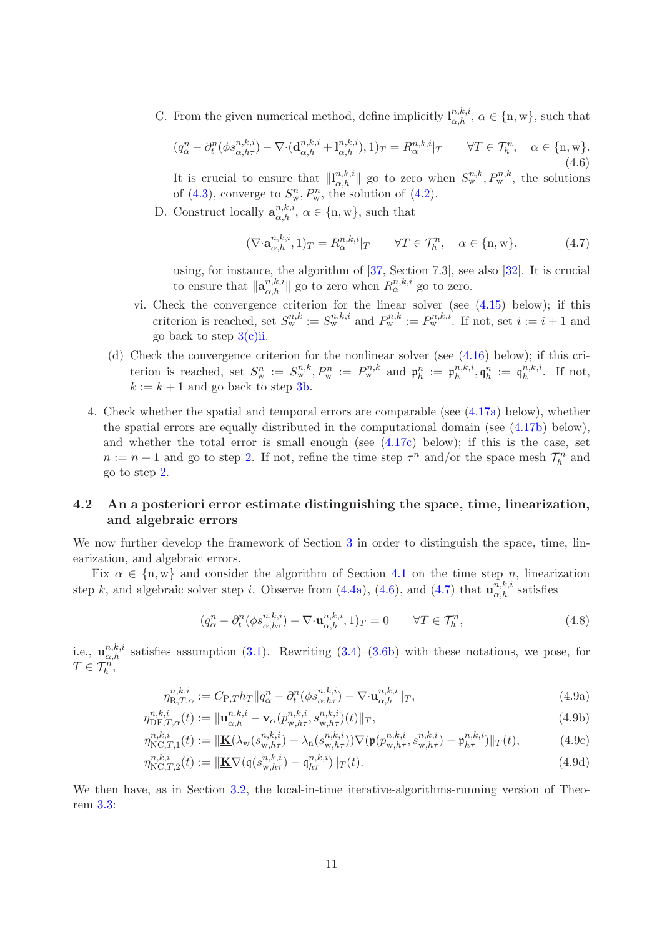C. From the given numerical method, define implicitly  $l_{\alpha,h}^{n,k,i}, \alpha \in \{\text{n}, \text{w}\}\)$ , such that

<span id="page-10-0"></span>
$$
(q_{\alpha}^n - \partial_t^n(\phi s_{\alpha,h\tau}^{n,k,i}) - \nabla \cdot (\mathbf{d}_{\alpha,h}^{n,k,i} + \mathbf{l}_{\alpha,h}^{n,k,i}), 1)_T = R_{\alpha}^{n,k,i}|_T \qquad \forall T \in \mathcal{T}_h^n, \quad \alpha \in \{\mathbf{n}, \mathbf{w}\}.
$$
\n(4.6)

It is crucial to ensure that  $\|\mathbf{l}_{\alpha,h}^{n,k,i}\|$  go to zero when  $S_{\rm w}^{n,k}, P_{\rm w}^{n,k}$ , the solutions of [\(4.3\)](#page-9-0), converge to  $S_{\rm w}^n$ ,  $P_{\rm w}^n$ , the solution of [\(4.2\)](#page-8-2).

D. Construct locally  $\mathbf{a}_{\alpha,h}^{n,k,i}, \alpha \in \{\text{n}, \text{w}\},\$  such that

<span id="page-10-1"></span>
$$
(\nabla \cdot \mathbf{a}_{\alpha,h}^{n,k,i}, 1)_T = R_{\alpha}^{n,k,i}|_T \qquad \forall T \in \mathcal{T}_h^n, \quad \alpha \in \{\mathbf{n}, \mathbf{w}\},\tag{4.7}
$$

using, for instance, the algorithm of [\[37,](#page-18-10) Section 7.3], see also [\[32\]](#page-17-11). It is crucial to ensure that  $\|\mathbf{a}_{\alpha,h}^{n,k,i}\|$  go to zero when  $R_{\alpha}^{n,k,i}$  go to zero.

- <span id="page-10-4"></span>vi. Check the convergence criterion for the linear solver (see [\(4.15\)](#page-12-1) below); if this criterion is reached, set  $S_{\mathbf{w}}^{n,k} := S_{\mathbf{w}}^{n,k,i}$  and  $P_{\mathbf{w}}^{n,k} := P_{\mathbf{w}}^{n,k,i}$ . If not, set  $i := i + 1$  and go back to step  $3(c)$ ii.
- <span id="page-10-5"></span>(d) Check the convergence criterion for the nonlinear solver (see [\(4.16\)](#page-12-2) below); if this criterion is reached, set  $S_{\rm w}^n := S_{\rm w}^{n,k}, P_{\rm w}^n := P_{\rm w}^{n,k}$  and  $\mathfrak{p}_h^n := \mathfrak{p}_h^{n,k,i}$  $\mathfrak{h}^{n,k,i}_{h}, \mathfrak{q}^{n}_{h} \, := \, \mathfrak{q}^{n,k,i}_{h}$  $h^{n,\kappa,\imath}$ . If not,  $k := k + 1$  and go back to step [3b.](#page-9-2)
- <span id="page-10-6"></span>4. Check whether the spatial and temporal errors are comparable (see [\(4.17a\)](#page-12-3) below), whether the spatial errors are equally distributed in the computational domain (see [\(4.17b\)](#page-12-4) below), and whether the total error is small enough (see [\(4.17c\)](#page-12-5) below); if this is the case, set  $n := n + 1$  and go to step [2.](#page-9-3) If not, refine the time step  $\tau^n$  and/or the space mesh  $\mathcal{T}_h^n$  and go to step [2.](#page-9-3)

### <span id="page-10-7"></span>4.2 An a posteriori error estimate distinguishing the space, time, linearization, and algebraic errors

We now further develop the framework of Section [3](#page-5-3) in order to distinguish the space, time, linearization, and algebraic errors.

Fix  $\alpha \in \{n, w\}$  and consider the algorithm of Section [4.1](#page-8-0) on the time step n, linearization step k, and algebraic solver step i. Observe from [\(4.4a\)](#page-9-4), [\(4.6\)](#page-10-0), and [\(4.7\)](#page-10-1) that  $\mathbf{u}_{\alpha,h}^{n,k,i}$  satisfies

<span id="page-10-8"></span><span id="page-10-3"></span><span id="page-10-2"></span>
$$
(q_{\alpha}^{n} - \partial_{t}^{n} (\phi s_{\alpha,h\tau}^{n,k,i}) - \nabla \cdot \mathbf{u}_{\alpha,h}^{n,k,i}, 1)_{T} = 0 \qquad \forall T \in \mathcal{T}_{h}^{n}, \qquad (4.8)
$$

i.e.,  $\mathbf{u}_{\alpha,h}^{n,k,i}$  satisfies assumption [\(3.1\)](#page-5-2). Rewriting [\(3.4\)](#page-6-0)–[\(3.6b\)](#page-6-1) with these notations, we pose, for  $T \in \mathcal{T}_h^m$ ,

$$
\eta_{\mathcal{R},T,\alpha}^{n,k,i} := C_{\mathcal{P},T} h_T \| q_{\alpha}^n - \partial_t^n (\phi s_{\alpha,h\tau}^{n,k,i}) - \nabla \cdot \mathbf{u}_{\alpha,h}^{n,k,i} \|_T, \tag{4.9a}
$$

$$
\eta_{\text{DF},T,\alpha}^{n,k,i}(t) := \|\mathbf{u}_{\alpha,h}^{n,k,i} - \mathbf{v}_{\alpha}(p_{\text{w},h\tau}^{n,k,i}, s_{\text{w},h\tau}^{n,k,i})(t)\|_{T},\tag{4.9b}
$$

$$
\eta_{\text{NC},T,1}^{n,k,i}(t) := \|\underline{\mathbf{K}}(\lambda_{\text{w}}(s_{\text{w},h\tau}^{n,k,i}) + \lambda_{\text{n}}(s_{\text{w},h\tau}^{n,k,i}))\nabla(\mathfrak{p}(p_{\text{w},h\tau}^{n,k,i}, s_{\text{w},h\tau}^{n,k,i}) - \mathfrak{p}_{h\tau}^{n,k,i})\|_{T}(t),\tag{4.9c}
$$

$$
\eta_{\text{NC},T,2}^{n,k,i}(t) := \|\underline{\mathbf{K}} \nabla (\mathbf{q}(s_{\text{w},h\tau}^{n,k,i}) - \mathbf{q}_{h\tau}^{n,k,i})\|_{T}(t). \tag{4.9d}
$$

We then have, as in Section [3.2,](#page-6-4) the local-in-time iterative-algorithms-running version of Theorem [3.3:](#page-6-5)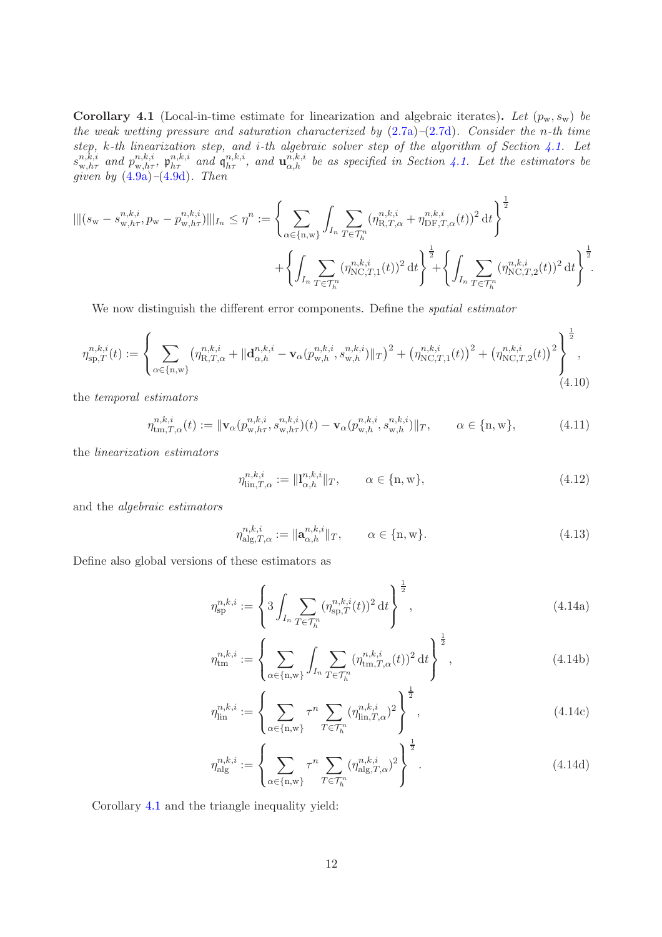<span id="page-11-0"></span>Corollary 4.1 (Local-in-time estimate for linearization and algebraic iterates). Let  $(p_w, s_w)$  be *the weak wetting pressure and saturation characterized by* [\(2.7a\)](#page-4-5)*–*[\(2.7d\)](#page-4-6)*. Consider the* n*-th time step,* k*-th linearization step, and* i*-th algebraic solver step of the algorithm of Section [4.1.](#page-8-0) Let*  $s^{n,\overline{k},i}_{w,h\tau}$  and  $p^{n,k,i}_{w,h\tau}$ ,  $\mathfrak{p}^{n,k,i}_{h\tau}$  and  $\mathfrak{q}^{n,k,i}_{h\tau}$ , and  $\mathfrak{u}^{\overline{n},k,i}_{\alpha,h}$  be as specified in Section [4.1.](#page-8-0) Let the estimators be *given by* [\(4.9a\)](#page-10-2)*–*[\(4.9d\)](#page-10-3)*. Then*

$$
\| |(s_{\mathbf{w}} - s_{\mathbf{w},h\tau}^{n,k,i}, p_{\mathbf{w}} - p_{\mathbf{w},h\tau}^{n,k,i})|||_{I_n} \leq \eta^n := \left\{ \sum_{\alpha \in \{\mathbf{n},\mathbf{w}\}} \int_{I_n} \sum_{T \in \mathcal{T}_h^n} (\eta_{\mathbf{R},T,\alpha}^{n,k,i} + \eta_{\text{DF},T,\alpha}^{n,k,i}(t))^2 dt \right\}^{\frac{1}{2}} + \left\{ \int_{I_n} \sum_{T \in \mathcal{T}_h^n} (\eta_{\text{NC},T,1}^{n,k,i}(t))^2 dt \right\}^{\frac{1}{2}} + \left\{ \int_{I_n} \sum_{T \in \mathcal{T}_h^n} (\eta_{\text{NC},T,2}^{n,k,i}(t))^2 dt \right\}^{\frac{1}{2}}.
$$

We now distinguish the different error components. Define the *spatial estimator*

<span id="page-11-3"></span>
$$
\eta_{\mathrm{sp},T}^{n,k,i}(t) := \left\{ \sum_{\alpha \in \{n,\mathrm{w}\}} \left( \eta_{\mathrm{R},T,\alpha}^{n,k,i} + \|\mathbf{d}_{\alpha,h}^{n,k,i} - \mathbf{v}_{\alpha}(p_{\mathrm{w},h}^{n,k,i}, s_{\mathrm{w},h}^{n,k,i})\|_{T} \right)^{2} + \left( \eta_{\mathrm{NC},T,1}^{n,k,i}(t) \right)^{2} + \left( \eta_{\mathrm{NC},T,2}^{n,k,i}(t) \right)^{2} \right\}^{\frac{1}{2}},\tag{4.10}
$$

the *temporal estimators*

$$
\eta_{tm,T,\alpha}^{n,k,i}(t) := \|\mathbf{v}_{\alpha}(p_{w,h\tau}^{n,k,i}, s_{w,h\tau}^{n,k,i})(t) - \mathbf{v}_{\alpha}(p_{w,h}^{n,k,i}, s_{w,h}^{n,k,i})\|_{T}, \qquad \alpha \in \{\mathbf{n}, \mathbf{w}\},
$$
\n(4.11)

the *linearization estimators*

$$
\eta_{\text{lin},T,\alpha}^{n,k,i} := \|\mathbf{l}_{\alpha,h}^{n,k,i}\|_T, \qquad \alpha \in \{\text{n}, \text{w}\},\tag{4.12}
$$

and the *algebraic estimators*

<span id="page-11-1"></span>
$$
\eta_{\mathrm{alg},T,\alpha}^{n,k,i} := \|\mathbf{a}_{\alpha,h}^{n,k,i}\|_T, \qquad \alpha \in \{\mathbf{n}, \mathbf{w}\}. \tag{4.13}
$$

Define also global versions of these estimators as

$$
\eta_{\rm sp}^{n,k,i} := \left\{ 3 \int_{I_n} \sum_{T \in \mathcal{T}_h^n} (\eta_{\rm sp,T}^{n,k,i}(t))^2 dt \right\}^{\frac{1}{2}},\tag{4.14a}
$$

$$
\eta_{\text{tm}}^{n,k,i} := \left\{ \sum_{\alpha \in \{\text{n}, \text{w}\}} \int_{I_n} \sum_{T \in \mathcal{T}_h^n} (\eta_{\text{tm},T,\alpha}^{n,k,i}(t))^2 dt \right\}^{\frac{1}{2}},\tag{4.14b}
$$

$$
\eta_{\text{lin}}^{n,k,i} := \left\{ \sum_{\alpha \in \{\text{n},\text{w}\}} \tau^n \sum_{T \in \mathcal{T}_h^n} (\eta_{\text{lin},T,\alpha}^{n,k,i})^2 \right\}^{\frac{1}{2}},\tag{4.14c}
$$

<span id="page-11-2"></span>
$$
\eta_{\text{alg}}^{n,k,i} := \left\{ \sum_{\alpha \in \{\text{n},\text{w}\}} \tau^n \sum_{T \in \mathcal{T}_h^n} (\eta_{\text{alg},T,\alpha}^{n,k,i})^2 \right\}^{\frac{1}{2}}.
$$
\n(4.14d)

Corollary [4.1](#page-11-0) and the triangle inequality yield: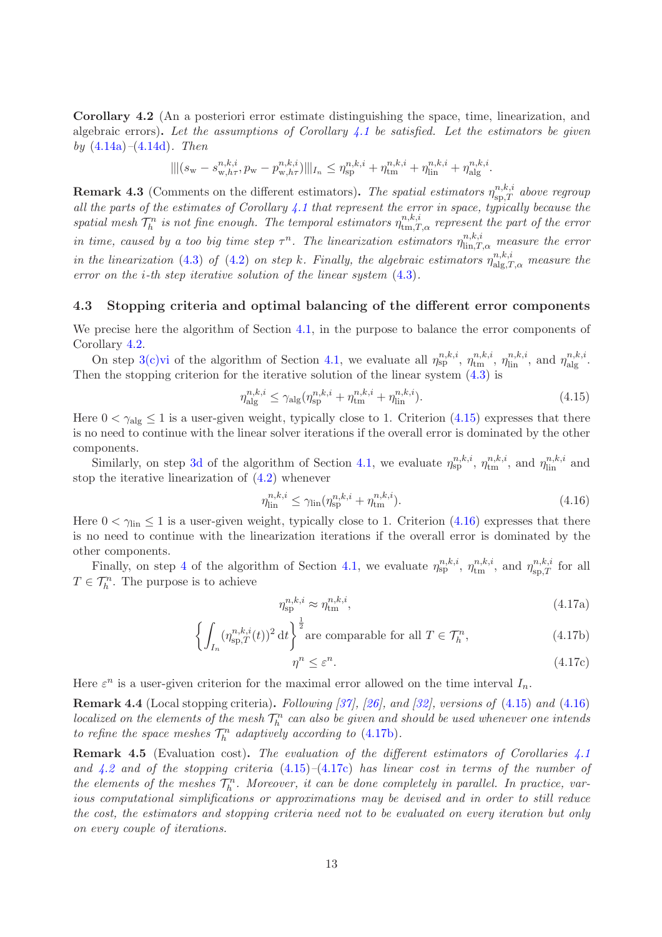<span id="page-12-6"></span>Corollary 4.2 (An a posteriori error estimate distinguishing the space, time, linearization, and algebraic errors). *Let the assumptions of Corollary [4.1](#page-11-0) be satisfied. Let the estimators be given by* [\(4.14a\)](#page-11-1)*–*[\(4.14d\)](#page-11-2)*. Then*

$$
\| |(s_{\mathbf{w}} - s_{\mathbf{w},h\tau}^{n,k,i}, p_{\mathbf{w}} - p_{\mathbf{w},h\tau}^{n,k,i})| \|_{I_n} \leq \eta_{\text{sp}}^{n,k,i} + \eta_{\text{tm}}^{n,k,i} + \eta_{\text{lin}}^{n,k,i} + \eta_{\text{alg}}^{n,k,i}.
$$

**Remark 4.3** (Comments on the different estimators). The spatial estimators  $\eta_{sp,T}^{n,k,i}$  above regroup *all the parts of the estimates of Corollary [4.1](#page-11-0) that represent the error in space, typically because the spatial mesh*  $\mathcal{T}_h^n$  *is not fine enough. The temporal estimators*  $\eta_{\text{tm},T,\alpha}^{n,k,i}$  *represent the part of the error in time, caused by a too big time step*  $\tau^n$ . The linearization estimators  $\eta^{n,k,i}_{\text{lin},T,\alpha}$  measure the error *in the linearization* [\(4.3\)](#page-9-0) *of* [\(4.2\)](#page-8-2) *on step k. Finally, the algebraic estimators*  $\eta_{\text{alg},T,\alpha}^{n,k,i}$  *measure the error on the* i*-th step iterative solution of the linear system* [\(4.3\)](#page-9-0)*.*

### <span id="page-12-0"></span>4.3 Stopping criteria and optimal balancing of the different error components

We precise here the algorithm of Section [4.1,](#page-8-0) in the purpose to balance the error components of Corollary [4.2.](#page-12-6)

On step [3\(c\)vi](#page-10-4) of the algorithm of Section [4.1,](#page-8-0) we evaluate all  $\eta_{sp}^{n,k,i}$ ,  $\eta_{tm}^{n,k,i}$ ,  $\eta_{lin}^{n,k,i}$ , and  $\eta_{alg}^{n,k,i}$ . Then the stopping criterion for the iterative solution of the linear system [\(4.3\)](#page-9-0) is

<span id="page-12-1"></span>
$$
\eta_{\text{alg}}^{n,k,i} \le \gamma_{\text{alg}} (\eta_{\text{sp}}^{n,k,i} + \eta_{\text{tm}}^{n,k,i} + \eta_{\text{lin}}^{n,k,i}). \tag{4.15}
$$

Here  $0 < \gamma_{\text{alg}} \leq 1$  is a user-given weight, typically close to 1. Criterion [\(4.15\)](#page-12-1) expresses that there is no need to continue with the linear solver iterations if the overall error is dominated by the other components.

Similarly, on step [3d](#page-10-5) of the algorithm of Section [4.1,](#page-8-0) we evaluate  $\eta_{sp}^{n,k,i}$ ,  $\eta_{tm}^{n,k,i}$ , and  $\eta_{lin}^{n,k,i}$  and stop the iterative linearization of [\(4.2\)](#page-8-2) whenever

<span id="page-12-2"></span>
$$
\eta_{\text{lin}}^{n,k,i} \le \gamma_{\text{lin}}(\eta_{\text{sp}}^{n,k,i} + \eta_{\text{tm}}^{n,k,i}).\tag{4.16}
$$

Here  $0 < \gamma_{lin} \leq 1$  is a user-given weight, typically close to 1. Criterion [\(4.16\)](#page-12-2) expresses that there is no need to continue with the linearization iterations if the overall error is dominated by the other components.

Finally, on step [4](#page-10-6) of the algorithm of Section [4.1,](#page-8-0) we evaluate  $\eta_{sp}^{n,k,i}$ ,  $\eta_{tm}^{n,k,i}$ , and  $\eta_{sp,T}^{n,k,i}$  for all  $T \in \mathcal{T}_h^n$ . The purpose is to achieve

$$
\eta_{\rm sp}^{n,k,i} \approx \eta_{\rm tm}^{n,k,i},\tag{4.17a}
$$

$$
\left\{ \int_{I_n} (\eta_{\text{sp},T}^{n,k,i}(t))^2 \, \mathrm{d}t \right\}^{\frac{1}{2}} \text{are comparable for all } T \in \mathcal{T}_h^n,\tag{4.17b}
$$

<span id="page-12-5"></span><span id="page-12-4"></span><span id="page-12-3"></span>
$$
\eta^n \le \varepsilon^n. \tag{4.17c}
$$

Here  $\varepsilon^n$  is a user-given criterion for the maximal error allowed on the time interval  $I_n$ .

Remark 4.4 (Local stopping criteria). *Following [\[37\]](#page-18-10), [\[26\]](#page-17-10), and [\[32\]](#page-17-11), versions of* [\(4.15\)](#page-12-1) *and* [\(4.16\)](#page-12-2)  $localized \ on \ the \ elements \ of \ the \ mesh \  $\mathcal{T}_h^n$  can also be given and should be used whenever one intends$ *to refine the space meshes*  $\mathcal{T}_h^n$  *adaptively according to* [\(4.17b\)](#page-12-4).

Remark 4.5 (Evaluation cost). *The evaluation of the different estimators of Corollaries [4.1](#page-11-0) and [4.2](#page-12-6) and of the stopping criteria* [\(4.15\)](#page-12-1)*–*[\(4.17c\)](#page-12-5) *has linear cost in terms of the number of the elements of the meshes*  $\mathcal{T}_h^n$ *. Moreover, it can be done completely in parallel. In practice, various computational simplifications or approximations may be devised and in order to still reduce the cost, the estimators and stopping criteria need not to be evaluated on every iteration but only on every couple of iterations.*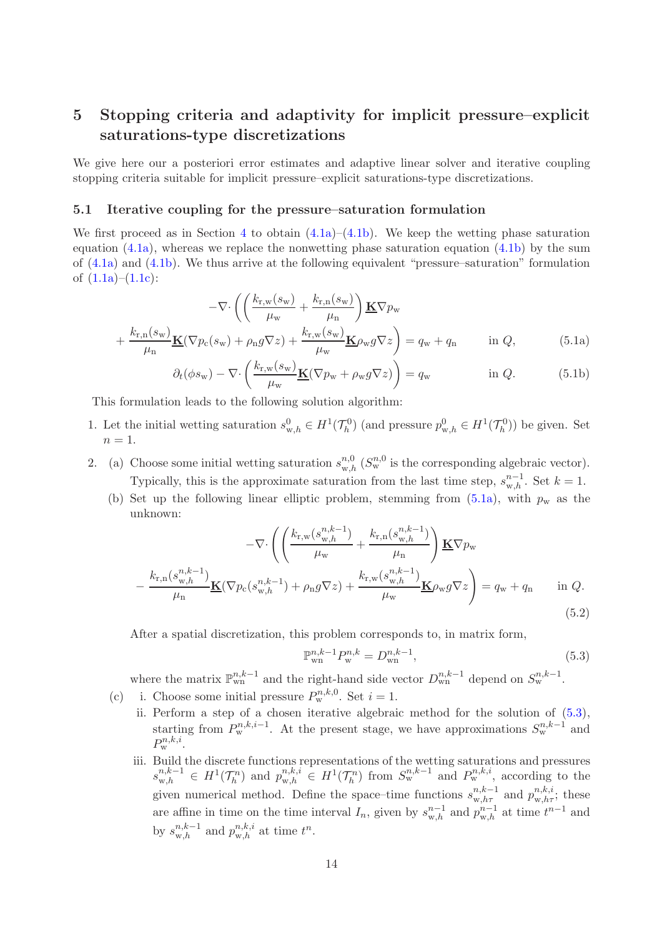# <span id="page-13-1"></span>5 Stopping criteria and adaptivity for implicit pressure–explicit saturations-type discretizations

We give here our a posteriori error estimates and adaptive linear solver and iterative coupling stopping criteria suitable for implicit pressure–explicit saturations-type discretizations.

#### <span id="page-13-0"></span>5.1 Iterative coupling for the pressure–saturation formulation

We first proceed as in Section [4](#page-8-1) to obtain  $(4.1a)$ – $(4.1b)$ . We keep the wetting phase saturation equation  $(4.1a)$ , whereas we replace the nonwetting phase saturation equation  $(4.1b)$  by the sum of [\(4.1a\)](#page-8-3) and [\(4.1b\)](#page-8-4). We thus arrive at the following equivalent "pressure–saturation" formulation of  $(1.1a)$ – $(1.1c)$ :

$$
-\nabla \cdot \left( \left( \frac{k_{\rm r,w}(s_{\rm w})}{\mu_{\rm w}} + \frac{k_{\rm r,n}(s_{\rm w})}{\mu_{\rm n}} \right) \underline{\mathbf{K}} \nabla p_{\rm w} + \frac{k_{\rm r,n}(s_{\rm w})}{\mu_{\rm n}} \underline{\mathbf{K}} (\nabla p_{\rm c}(s_{\rm w}) + \rho_{\rm n} g \nabla z) + \frac{k_{\rm r,w}(s_{\rm w})}{\mu_{\rm w}} \underline{\mathbf{K}} \rho_{\rm w} g \nabla z \right) = q_{\rm w} + q_{\rm n} \qquad \text{in } Q, \tag{5.1a}
$$

<span id="page-13-2"></span>
$$
\partial_t(\phi s_{\rm w}) - \nabla \cdot \left(\frac{k_{\rm r,w}(s_{\rm w})}{\mu_{\rm w}} \underline{\mathbf{K}}(\nabla p_{\rm w} + \rho_{\rm w} g \nabla z)\right) = q_{\rm w} \quad \text{in } Q. \tag{5.1b}
$$

This formulation leads to the following solution algorithm:

- 1. Let the initial wetting saturation  $s_{w,h}^0 \in H^1(\mathcal{T}_h^0)$  (and pressure  $p_{w,h}^0 \in H^1(\mathcal{T}_h^0)$ ) be given. Set  $n=1$ .
- <span id="page-13-8"></span><span id="page-13-7"></span>2. (a) Choose some initial wetting saturation  $s_{w,h}^{n,0}$  ( $S_w^{n,0}$  is the corresponding algebraic vector). Typically, this is the approximate saturation from the last time step,  $s_{w,h}^{n-1}$ . Set  $k = 1$ .
	- (b) Set up the following linear elliptic problem, stemming from  $(5.1a)$ , with  $p_w$  as the unknown:

$$
-\nabla \cdot \left( \left( \frac{k_{\rm r,w}(s_{\rm w,h}^{n,k-1})}{\mu_{\rm w}} + \frac{k_{\rm r,n}(s_{\rm w,h}^{n,k-1})}{\mu_{\rm n}} \right) \mathbf{K} \nabla p_{\rm w} - \frac{k_{\rm r,n}(s_{\rm w,h}^{n,k-1})}{\mu_{\rm n}} \mathbf{K} (\nabla p_{\rm c}(s_{\rm w,h}^{n,k-1}) + \rho_{\rm n} g \nabla z) + \frac{k_{\rm r,w}(s_{\rm w,h}^{n,k-1})}{\mu_{\rm w}} \mathbf{K} \rho_{\rm w} g \nabla z \right) = q_{\rm w} + q_{\rm n} \quad \text{in } Q. \tag{5.2}
$$

After a spatial discretization, this problem corresponds to, in matrix form,

<span id="page-13-5"></span><span id="page-13-3"></span>
$$
\mathbb{P}_{\text{wn}}^{n,k-1} P_{\text{w}}^{n,k} = D_{\text{wn}}^{n,k-1},\tag{5.3}
$$

where the matrix  $\mathbb{P}_{\text{wn}}^{n,k-1}$  and the right-hand side vector  $D_{\text{wn}}^{n,k-1}$  depend on  $S_{\text{w}}^{n,k-1}$ .

- <span id="page-13-6"></span><span id="page-13-4"></span>(c) i. Choose some initial pressure  $P_w^{n,k,0}$ . Set  $i = 1$ .
	- ii. Perform a step of a chosen iterative algebraic method for the solution of [\(5.3\)](#page-13-3), starting from  $P_{w}^{n,k,i-1}$ . At the present stage, we have approximations  $S_{w}^{n,k-1}$  and  $P_{\rm w}^{n,k,i}$ .
	- iii. Build the discrete functions representations of the wetting saturations and pressures  $s_{w,h}^{n,k-1} \in H^1(\mathcal{T}_h^n)$  and  $p_{w,h}^{n,k,i} \in H^1(\mathcal{T}_h^n)$  from  $S_{w}^{n,k-1}$  and  $P_{w}^{n,k,i}$ , according to the given numerical method. Define the space–time functions  $s_{w,h\tau}^{n,k-1}$  and  $p_{w,h\tau}^{n,k,i}$ ; these are affine in time on the time interval  $I_n$ , given by  $s_{w,h}^{n-1}$  and  $p_{w,h}^{n-1}$  at time  $t^{n-1}$  and by  $s_{w,h}^{n,k-1}$  and  $p_{w,h}^{n,k,i}$  at time  $t^n$ .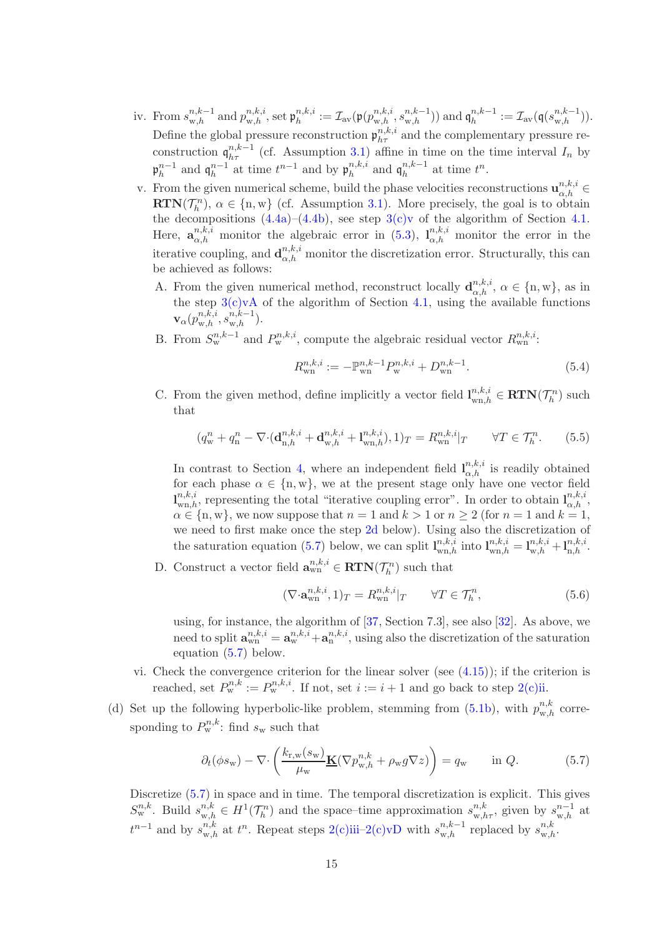- iv. From  $s_{w,h}^{n,k-1}$  and  $p_{w,h}^{n,k,i}$ , set  $\mathfrak{p}_{h}^{n,k,i}$  $\mathcal{I}_h^{n,k,i} := \mathcal{I}_{\text{av}}(\mathfrak{p}(p_{\text{w},h}^{n,k,i},s_{\text{w},h}^{n,k-1})) \text{ and } \mathfrak{q}_h^{n,k-1}$  $h_h^{n,k-1} := \mathcal{I}_{\text{av}}(\mathfrak{q}(s_{w,h}^{n,k-1})).$ Define the global pressure reconstruction  $\mathfrak{p}_{h\tau}^{n,k,i}$  and the complementary pressure reconstruction  $\mathfrak{q}_{h\tau}^{n,k-1}$  (cf. Assumption [3.1\)](#page-5-1) affine in time on the time interval  $I_n$  by  $\mathfrak{p}_h^{n-1}$  and  $\mathfrak{q}_h^{n-1}$  at time  $t^{n-1}$  and by  $\mathfrak{p}_h^{n,k,i}$  $_{h}^{n,k,i}$  and  $\mathfrak{q}_{h}^{n,k-1}$  $\binom{n,k-1}{h}$  at time  $t^n$ .
- v. From the given numerical scheme, build the phase velocities reconstructions  $\mathbf{u}_{\alpha,h}^{n,k,i} \in$  $\mathbf{RTN}(\mathcal{T}_h^n)$ ,  $\alpha \in \{n, w\}$  (cf. Assumption [3.1\)](#page-5-1). More precisely, the goal is to obtain the decompositions  $(4.4a)-(4.4b)$  $(4.4a)-(4.4b)$ , see step  $3(c)v$  of the algorithm of Section [4.1.](#page-8-0) Here,  $\mathbf{a}_{\alpha,h}^{n,k,i}$  monitor the algebraic error in [\(5.3\)](#page-13-3),  $\mathbf{l}_{\alpha,h}^{n,k,i}$  monitor the error in the iterative coupling, and  $\mathbf{d}_{\alpha,h}^{n,k,i}$  monitor the discretization error. Structurally, this can be achieved as follows:
	- A. From the given numerical method, reconstruct locally  $\mathbf{d}_{\alpha,h}^{n,k,i}$ ,  $\alpha \in \{\text{n}, \text{w}\}\)$ , as in the step  $3(c)vA$  of the algorithm of Section [4.1,](#page-8-0) using the available functions  $\mathbf{v}_{\alpha}(p_{\mathrm{w},h}^{n,k,i},s_{\mathrm{w},h}^{n,k-1}).$
	- B. From  $S_{\rm w}^{n,k-1}$  and  $P_{\rm w}^{n,k,i}$ , compute the algebraic residual vector  $R_{\rm w}^{n,k,i}$ .

$$
R_{\rm wn}^{n,k,i} := -\mathbb{P}_{\rm wn}^{n,k-1} P_{\rm w}^{n,k,i} + D_{\rm wn}^{n,k-1}.
$$
\n(5.4)

C. From the given method, define implicitly a vector field  $\mathbf{l}_{\text{wn},h}^{n,k,i} \in \mathbf{RTN}(\mathcal{T}_h^n)$  such that

<span id="page-14-4"></span>
$$
(q_w^n + q_n^n - \nabla \cdot (\mathbf{d}_{n,h}^{n,k,i} + \mathbf{d}_{w,h}^{n,k,i} + \mathbf{l}_{wn,h}^{n,k,i}), 1)_T = R_{wn}^{n,k,i}|_T \qquad \forall T \in \mathcal{T}_h^n. \tag{5.5}
$$

In contrast to Section [4,](#page-8-1) where an independent field  $I_{\alpha,h}^{n,k,i}$  is readily obtained for each phase  $\alpha \in \{n, w\}$ , we at the present stage only have one vector field  $\mathbf{l}_{\text{wn},h}^{n,k,i}$ , representing the total "iterative coupling error". In order to obtain  $\mathbf{l}_{\alpha,h}^{n,k,i}$ ,  $\alpha \in \{n, w\}$ , we now suppose that  $n = 1$  and  $k > 1$  or  $n \ge 2$  (for  $n = 1$  and  $k = 1$ , we need to first make once the step [2d](#page-14-0) below). Using also the discretization of the saturation equation [\(5.7\)](#page-14-1) below, we can split  $\mathbf{l}_{\text{wn},h}^{n,k,i}$  into  $\mathbf{l}_{\text{wn},h}^{n,k,i} = \mathbf{l}_{\text{w},h}^{n,k,i} + \mathbf{l}_{\text{n},h}^{n,k,i}$ .

<span id="page-14-2"></span>D. Construct a vector field  $\mathbf{a}_{\text{wn}}^{n,k,i} \in \text{RTN}(\mathcal{T}_h^n)$  such that

<span id="page-14-5"></span>
$$
(\nabla \cdot \mathbf{a}_{\text{wn}}^{n,k,i}, 1)_T = R_{\text{wn}}^{n,k,i}|_T \qquad \forall T \in \mathcal{T}_h^n,
$$
\n(5.6)

using, for instance, the algorithm of [\[37,](#page-18-10) Section 7.3], see also [\[32\]](#page-17-11). As above, we need to split  $\mathbf{a}_{\text{wn}}^{n,k,i} = \mathbf{a}_{\text{w}}^{n,k,i} + \mathbf{a}_{\text{n}}^{n,k,i}$ , using also the discretization of the saturation equation [\(5.7\)](#page-14-1) below.

- vi. Check the convergence criterion for the linear solver (see  $(4.15)$ ); if the criterion is reached, set  $P_{\mathbf{w}}^{n,k} := P_{\mathbf{w}}^{n,k,i}$ . If not, set  $i := i + 1$  and go back to step  $2(c)$ ii.
- <span id="page-14-3"></span><span id="page-14-0"></span>(d) Set up the following hyperbolic-like problem, stemming from [\(5.1b\)](#page-13-5), with  $p_{w,h}^{n,k}$  corresponding to  $P_{\mathbf{w}}^{n,k}$ : find  $s_{\mathbf{w}}$  such that

<span id="page-14-1"></span>
$$
\partial_t(\phi s_{\mathbf{w}}) - \nabla \cdot \left( \frac{k_{\mathbf{r},\mathbf{w}}(s_{\mathbf{w}})}{\mu_{\mathbf{w}}} \underline{\mathbf{K}}(\nabla p_{\mathbf{w},h}^{n,k} + \rho_{\mathbf{w}} g \nabla z) \right) = q_{\mathbf{w}} \quad \text{in } Q. \tag{5.7}
$$

Discretize  $(5.7)$  in space and in time. The temporal discretization is explicit. This gives  $S_{\rm w}^{n,k}$ . Build  $s_{\rm w,h}^{n,k} \in H^1(\mathcal{T}_h^n)$  and the space–time approximation  $s_{\rm w,h\tau}^{n,k}$ , given by  $s_{\rm w,h}^{n-1}$  at  $t^{n-1}$  and by  $s_{w,h}^{n,k}$  at  $t^n$ . Repeat steps [2\(c\)iii–](#page-13-6)[2\(c\)vD](#page-14-2) with  $s_{w,h}^{n,k-1}$  replaced by  $s_{w,h}^{n,k}$ .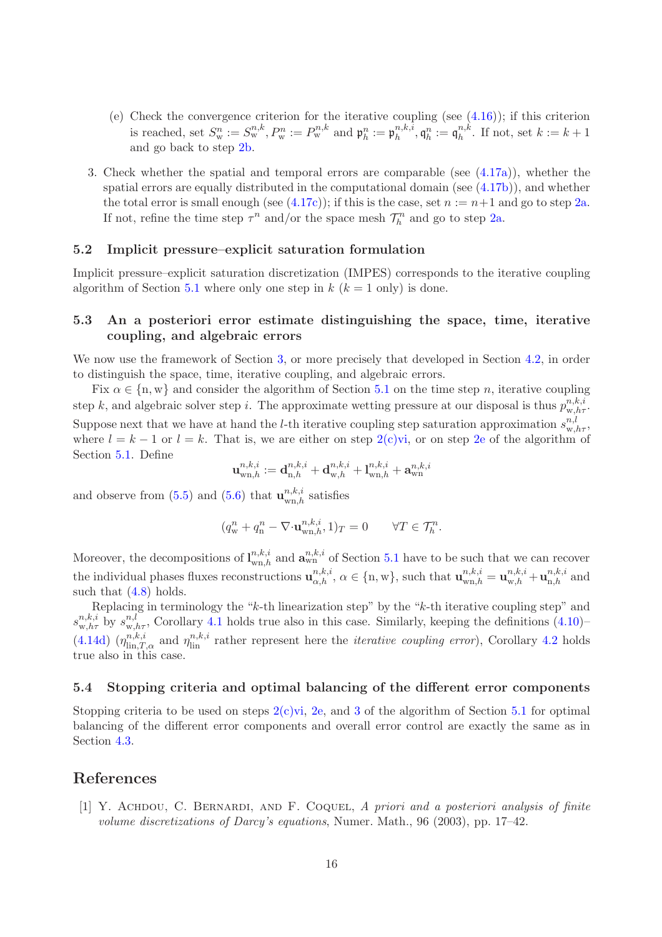- <span id="page-15-3"></span>(e) Check the convergence criterion for the iterative coupling (see  $(4.16)$ ); if this criterion is reached, set  $S_{\rm w}^n := S_{\rm w}^{n,k}, P_{\rm w}^n := P_{\rm w}^{n,k}$  and  $\mathfrak{p}_h^n := \mathfrak{p}_h^{n,k,i}$  $\mathfrak{h}^{n,k,i}_{h}, \mathfrak{q}^{n}_{h}:= \mathfrak{q}^{n,k}_{h}$  $h^{n,k}$ . If not, set  $k := k+1$ and go back to step [2b.](#page-13-7)
- <span id="page-15-4"></span>3. Check whether the spatial and temporal errors are comparable (see [\(4.17a\)](#page-12-3)), whether the spatial errors are equally distributed in the computational domain (see [\(4.17b\)](#page-12-4)), and whether the total error is small enough (see  $(4.17c)$ ); if this is the case, set  $n := n+1$  and go to step [2a.](#page-13-8) If not, refine the time step  $\tau^n$  and/or the space mesh  $\mathcal{T}_h^n$  and go to step [2a.](#page-13-8)

### <span id="page-15-0"></span>5.2 Implicit pressure–explicit saturation formulation

Implicit pressure–explicit saturation discretization (IMPES) corresponds to the iterative coupling algorithm of Section [5.1](#page-13-0) where only one step in  $k$  ( $k = 1$  only) is done.

### 5.3 An a posteriori error estimate distinguishing the space, time, iterative coupling, and algebraic errors

We now use the framework of Section [3,](#page-5-3) or more precisely that developed in Section [4.2,](#page-10-7) in order to distinguish the space, time, iterative coupling, and algebraic errors.

Fix  $\alpha \in \{n, w\}$  and consider the algorithm of Section [5.1](#page-13-0) on the time step n, iterative coupling step k, and algebraic solver step i. The approximate wetting pressure at our disposal is thus  $p_{w,h\tau}^{n,k,i}$ . Suppose next that we have at hand the *l*-th iterative coupling step saturation approximation  $s_{w,h\tau}^{n,l}$ , where  $l = k - 1$  or  $l = k$ . That is, we are either on step  $2(c)$ vi, or on step [2e](#page-15-3) of the algorithm of Section [5.1.](#page-13-0) Define

$$
\mathbf{u}^{n,k,i}_{\mathrm{wn},h} := \mathbf{d}^{n,k,i}_{\mathrm{n},h} + \mathbf{d}^{n,k,i}_{\mathrm{w},h} + \mathbf{l}^{n,k,i}_{\mathrm{wn},h} + \mathbf{a}^{n,k,i}_{\mathrm{wn}}
$$

and observe from [\(5.5\)](#page-14-4) and [\(5.6\)](#page-14-5) that  $\mathbf{u}_{\text{wn},h}^{n,k,i}$  satisfies

$$
(q_{\mathbf{w}}^n + q_{\mathbf{n}}^n - \nabla \cdot \mathbf{u}_{\mathbf{w}\mathbf{n},h}^{n,k,i}, 1)_T = 0 \qquad \forall T \in \mathcal{T}_h^n.
$$

Moreover, the decompositions of  $\mathbf{l}_{\text{wn},h}^{n,k,i}$  and  $\mathbf{a}_{\text{wn}}^{n,k,i}$  of Section [5.1](#page-13-0) have to be such that we can recover the individual phases fluxes reconstructions  $\mathbf{u}_{\alpha,h}^{n,k,i}$ ,  $\alpha \in \{\text{n}, \text{w}\}\$ , such that  $\mathbf{u}_{\text{wn},h}^{n,k,i} = \mathbf{u}_{\text{w},h}^{n,k,i} + \mathbf{u}_{\text{n},h}^{n,k,i}$  and such that  $(4.8)$  holds.

Replacing in terminology the "k-th linearization step" by the "k-th iterative coupling step" and  $s_{w,h\tau}^{n,k,i}$  by  $s_{w,h\tau}^{n,l}$ , Corollary [4.1](#page-11-0) holds true also in this case. Similarly, keeping the definitions [\(4.10\)](#page-11-3)–  $(4.14d)$   $(\eta_{\text{lin},T,\alpha}^{n,k,i}$  and  $\eta_{\text{lin}}^{n,k,i}$  rather represent here the *iterative coupling error*), Corollary [4.2](#page-12-6) holds true also in this case.

### <span id="page-15-1"></span>5.4 Stopping criteria and optimal balancing of the different error components

Stopping criteria to be used on steps  $2(c)vi$ , [2e,](#page-15-3) and [3](#page-15-4) of the algorithm of Section [5.1](#page-13-0) for optimal balancing of the different error components and overall error control are exactly the same as in Section [4.3.](#page-12-0)

### <span id="page-15-2"></span>References

[1] Y. Achdou, C. Bernardi, and F. Coquel, *A priori and a posteriori analysis of finite volume discretizations of Darcy's equations*, Numer. Math., 96 (2003), pp. 17–42.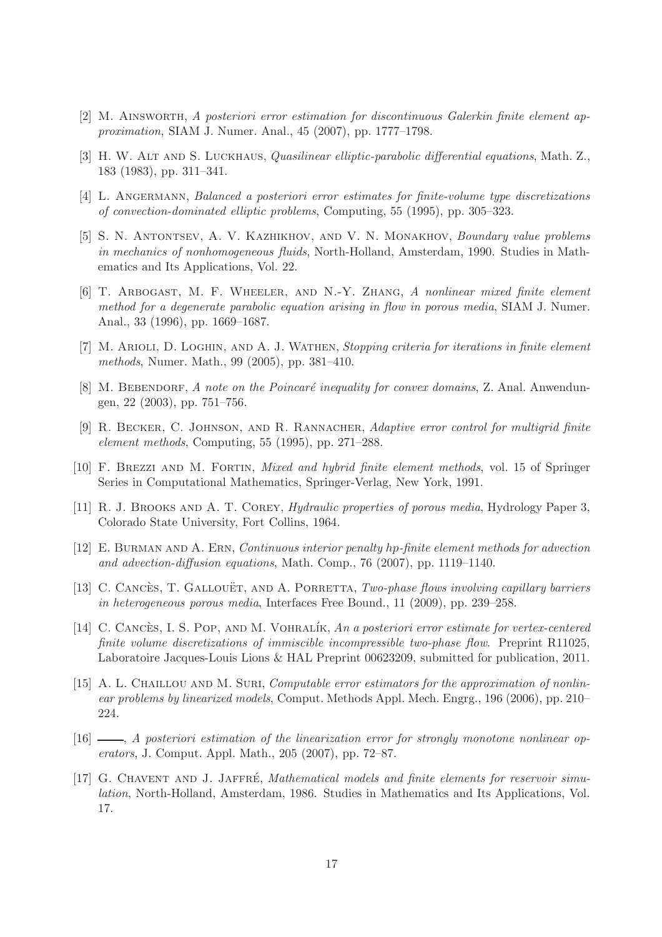- <span id="page-16-15"></span><span id="page-16-4"></span>[2] M. Ainsworth, *A posteriori error estimation for discontinuous Galerkin finite element approximation*, SIAM J. Numer. Anal., 45 (2007), pp. 1777–1798.
- <span id="page-16-11"></span>[3] H. W. Alt and S. Luckhaus, *Quasilinear elliptic-parabolic differential equations*, Math. Z., 183 (1983), pp. 311–341.
- <span id="page-16-2"></span>[4] L. Angermann, *Balanced a posteriori error estimates for finite-volume type discretizations of convection-dominated elliptic problems*, Computing, 55 (1995), pp. 305–323.
- [5] S. N. Antontsev, A. V. Kazhikhov, and V. N. Monakhov, *Boundary value problems in mechanics of nonhomogeneous fluids*, North-Holland, Amsterdam, 1990. Studies in Mathematics and Its Applications, Vol. 22.
- <span id="page-16-5"></span>[6] T. Arbogast, M. F. Wheeler, and N.-Y. Zhang, *A nonlinear mixed finite element method for a degenerate parabolic equation arising in flow in porous media*, SIAM J. Numer. Anal., 33 (1996), pp. 1669–1687.
- <span id="page-16-8"></span>[7] M. Arioli, D. Loghin, and A. J. Wathen, *Stopping criteria for iterations in finite element methods*, Numer. Math., 99 (2005), pp. 381–410.
- <span id="page-16-12"></span>[8] M. BEBENDORF, *A note on the Poincaré inequality for convex domains*, Z. Anal. Anwendungen, 22 (2003), pp. 751–756.
- <span id="page-16-7"></span>[9] R. Becker, C. Johnson, and R. Rannacher, *Adaptive error control for multigrid finite element methods*, Computing, 55 (1995), pp. 271–288.
- <span id="page-16-14"></span>[10] F. Brezzi and M. Fortin, *Mixed and hybrid finite element methods*, vol. 15 of Springer Series in Computational Mathematics, Springer-Verlag, New York, 1991.
- <span id="page-16-13"></span><span id="page-16-0"></span>[11] R. J. Brooks and A. T. Corey, *Hydraulic properties of porous media*, Hydrology Paper 3, Colorado State University, Fort Collins, 1964.
- [12] E. Burman and A. Ern, *Continuous interior penalty* hp*-finite element methods for advection and advection-diffusion equations*, Math. Comp., 76 (2007), pp. 1119–1140.
- <span id="page-16-3"></span>[13] C. CANCES, T. GALLOUET, AND A. PORRETTA, *Two-phase flows involving capillary barriers in heterogeneous porous media*, Interfaces Free Bound., 11 (2009), pp. 239–258.
- <span id="page-16-6"></span>[14] C. CANCÈS, I. S. POP, AND M. VOHRALÍK, *An a posteriori error estimate for vertex-centered finite volume discretizations of immiscible incompressible two-phase flow*. Preprint R11025, Laboratoire Jacques-Louis Lions & HAL Preprint 00623209, submitted for publication, 2011.
- <span id="page-16-9"></span>[15] A. L. CHAILLOU AND M. SURI, *Computable error estimators for the approximation of nonlinear problems by linearized models*, Comput. Methods Appl. Mech. Engrg., 196 (2006), pp. 210– 224.
- <span id="page-16-10"></span>[16] , *A posteriori estimation of the linearization error for strongly monotone nonlinear operators*, J. Comput. Appl. Math., 205 (2007), pp. 72–87.
- <span id="page-16-1"></span>[17] G. CHAVENT AND J. JAFFRÉ, *Mathematical models and finite elements for reservoir simulation*, North-Holland, Amsterdam, 1986. Studies in Mathematics and Its Applications, Vol. 17.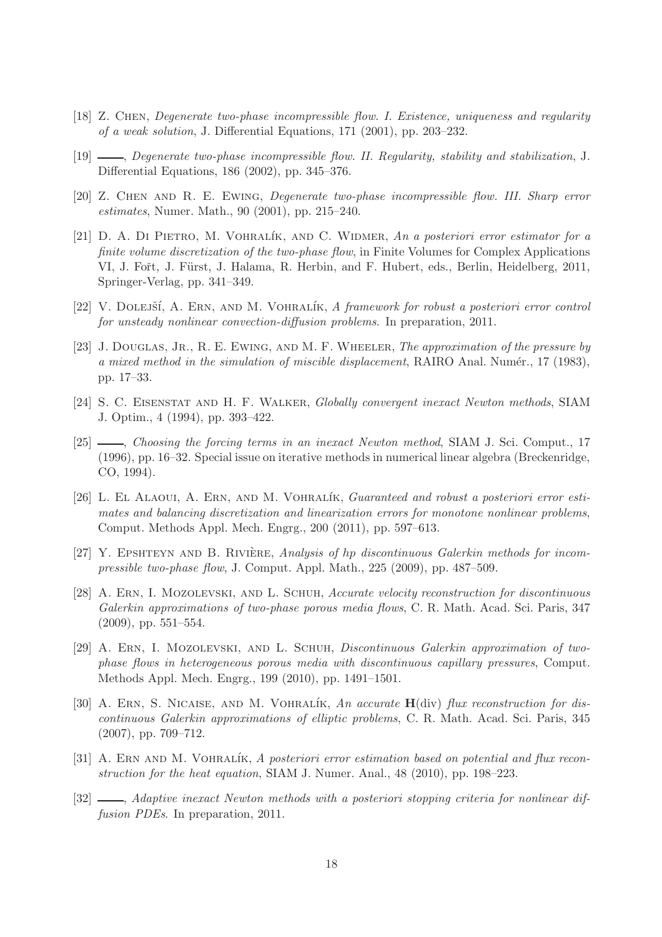- <span id="page-17-1"></span><span id="page-17-0"></span>[18] Z. Chen, *Degenerate two-phase incompressible flow. I. Existence, uniqueness and regularity of a weak solution*, J. Differential Equations, 171 (2001), pp. 203–232.
- <span id="page-17-2"></span>[19] , *Degenerate two-phase incompressible flow. II. Regularity, stability and stabilization*, J. Differential Equations, 186 (2002), pp. 345–376.
- <span id="page-17-12"></span>[20] Z. Chen and R. E. Ewing, *Degenerate two-phase incompressible flow. III. Sharp error estimates*, Numer. Math., 90 (2001), pp. 215–240.
- [21] D. A. Di Pietro, M. Vohral´ık, and C. Widmer, *An a posteriori error estimator for a finite volume discretization of the two-phase flow*, in Finite Volumes for Complex Applications VI, J. Fořt, J. Fürst, J. Halama, R. Herbin, and F. Hubert, eds., Berlin, Heidelberg, 2011, Springer-Verlag, pp. 341–349.
- <span id="page-17-13"></span><span id="page-17-3"></span>[22] V. DOLEJŠÍ, A. ERN, AND M. VOHRALÍK, *A framework for robust a posteriori error control for unsteady nonlinear convection-diffusion problems*. In preparation, 2011.
- [23] J. Douglas, Jr., R. E. Ewing, and M. F. Wheeler, *The approximation of the pressure by a mixed method in the simulation of miscible displacement*, RAIRO Anal. Numér., 17 (1983), pp. 17–33.
- <span id="page-17-9"></span><span id="page-17-8"></span>[24] S. C. Eisenstat and H. F. Walker, *Globally convergent inexact Newton methods*, SIAM J. Optim., 4 (1994), pp. 393–422.
- [25] , *Choosing the forcing terms in an inexact Newton method*, SIAM J. Sci. Comput., 17 (1996), pp. 16–32. Special issue on iterative methods in numerical linear algebra (Breckenridge, CO, 1994).
- <span id="page-17-10"></span>[26] L. EL ALAOUI, A. ERN, AND M. VOHRALÍK, *Guaranteed and robust a posteriori error estimates and balancing discretization and linearization errors for monotone nonlinear problems*, Comput. Methods Appl. Mech. Engrg., 200 (2011), pp. 597–613.
- <span id="page-17-4"></span>[27] Y. EPSHTEYN AND B. RIVIÈRE, *Analysis of hp discontinuous Galerkin methods for incompressible two-phase flow*, J. Comput. Appl. Math., 225 (2009), pp. 487–509.
- <span id="page-17-5"></span>[28] A. Ern, I. Mozolevski, and L. Schuh, *Accurate velocity reconstruction for discontinuous Galerkin approximations of two-phase porous media flows*, C. R. Math. Acad. Sci. Paris, 347 (2009), pp. 551–554.
- <span id="page-17-6"></span>[29] A. Ern, I. Mozolevski, and L. Schuh, *Discontinuous Galerkin approximation of twophase flows in heterogeneous porous media with discontinuous capillary pressures*, Comput. Methods Appl. Mech. Engrg., 199 (2010), pp. 1491–1501.
- <span id="page-17-14"></span>[30] A. ERN, S. NICAISE, AND M. VOHRALÍK, *An accurate*  $H(\text{div})$  *flux reconstruction for discontinuous Galerkin approximations of elliptic problems*, C. R. Math. Acad. Sci. Paris, 345 (2007), pp. 709–712.
- <span id="page-17-7"></span>[31] A. ERN AND M. VOHRALIK, *A posteriori error estimation based on potential and flux reconstruction for the heat equation*, SIAM J. Numer. Anal., 48 (2010), pp. 198–223.
- <span id="page-17-11"></span>[32] , *Adaptive inexact Newton methods with a posteriori stopping criteria for nonlinear diffusion PDEs*. In preparation, 2011.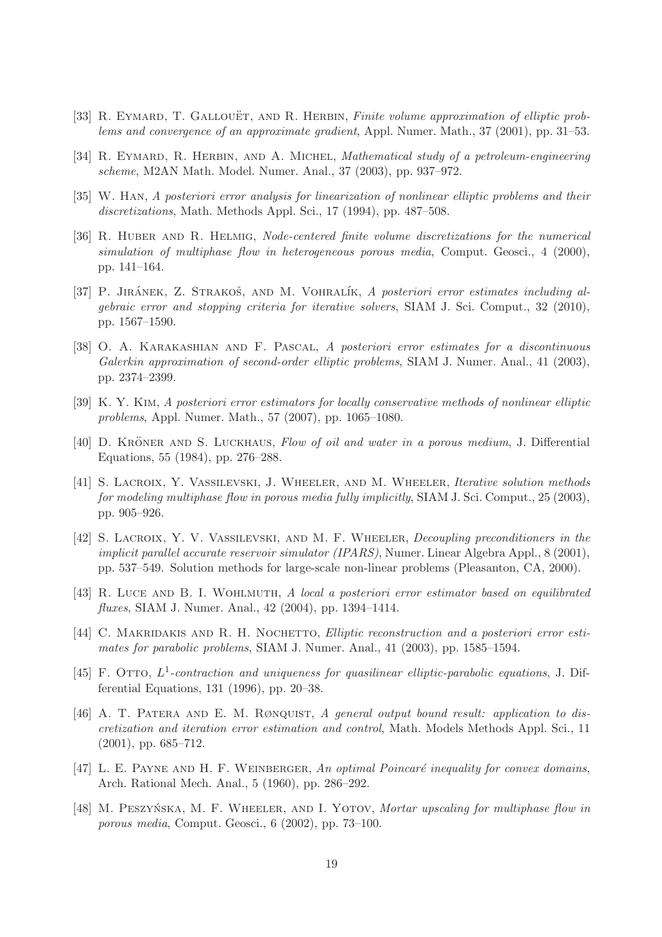- <span id="page-18-13"></span><span id="page-18-2"></span>[33] R. EYMARD, T. GALLOUËT, AND R. HERBIN, *Finite volume approximation of elliptic problems and convergence of an approximate gradient*, Appl. Numer. Math., 37 (2001), pp. 31–53.
- <span id="page-18-8"></span>[34] R. EYMARD, R. HERBIN, AND A. MICHEL, *Mathematical study of a petroleum-engineering scheme*, M2AN Math. Model. Numer. Anal., 37 (2003), pp. 937–972.
- <span id="page-18-3"></span>[35] W. Han, *A posteriori error analysis for linearization of nonlinear elliptic problems and their discretizations*, Math. Methods Appl. Sci., 17 (1994), pp. 487–508.
- [36] R. HUBER AND R. HELMIG, *Node-centered finite volume discretizations for the numerical simulation of multiphase flow in heterogeneous porous media*, Comput. Geosci., 4 (2000), pp. 141–164.
- <span id="page-18-10"></span>[37] P. JIRÁNEK, Z. STRAKOŠ, AND M. VOHRALÍK, *A posteriori error estimates including algebraic error and stopping criteria for iterative solvers*, SIAM J. Sci. Comput., 32 (2010), pp. 1567–1590.
- <span id="page-18-12"></span>[38] O. A. Karakashian and F. Pascal, *A posteriori error estimates for a discontinuous Galerkin approximation of second-order elliptic problems*, SIAM J. Numer. Anal., 41 (2003), pp. 2374–2399.
- <span id="page-18-14"></span><span id="page-18-0"></span>[39] K. Y. Kim, *A posteriori error estimators for locally conservative methods of nonlinear elliptic problems*, Appl. Numer. Math., 57 (2007), pp. 1065–1080.
- [40] D. KRÖNER AND S. LUCKHAUS, *Flow of oil and water in a porous medium*, J. Differential Equations, 55 (1984), pp. 276–288.
- <span id="page-18-6"></span>[41] S. Lacroix, Y. Vassilevski, J. Wheeler, and M. Wheeler, *Iterative solution methods for modeling multiphase flow in porous media fully implicitly*, SIAM J. Sci. Comput., 25 (2003), pp. 905–926.
- <span id="page-18-5"></span>[42] S. Lacroix, Y. V. Vassilevski, and M. F. Wheeler, *Decoupling preconditioners in the implicit parallel accurate reservoir simulator (IPARS)*, Numer. Linear Algebra Appl., 8 (2001), pp. 537–549. Solution methods for large-scale non-linear problems (Pleasanton, CA, 2000).
- <span id="page-18-15"></span>[43] R. Luce and B. I. Wohlmuth, *A local a posteriori error estimator based on equilibrated fluxes*, SIAM J. Numer. Anal., 42 (2004), pp. 1394–1414.
- <span id="page-18-9"></span>[44] C. MAKRIDAKIS AND R. H. NOCHETTO, *Elliptic reconstruction and a posteriori error estimates for parabolic problems*, SIAM J. Numer. Anal., 41 (2003), pp. 1585–1594.
- <span id="page-18-1"></span>[45] F. OTTO,  $L^1$ -contraction and uniqueness for quasilinear elliptic-parabolic equations, J. Differential Equations, 131 (1996), pp. 20–38.
- <span id="page-18-7"></span>[46] A. T. Patera and E. M. Rønquist, *A general output bound result: application to discretization and iteration error estimation and control*, Math. Models Methods Appl. Sci., 11 (2001), pp. 685–712.
- <span id="page-18-11"></span>[47] L. E. PAYNE AND H. F. WEINBERGER, An optimal Poincaré inequality for convex domains, Arch. Rational Mech. Anal., 5 (1960), pp. 286–292.
- <span id="page-18-4"></span>[48] M. PESZYŃSKA, M. F. WHEELER, AND I. YOTOV, *Mortar upscaling for multiphase flow in porous media*, Comput. Geosci., 6 (2002), pp. 73–100.